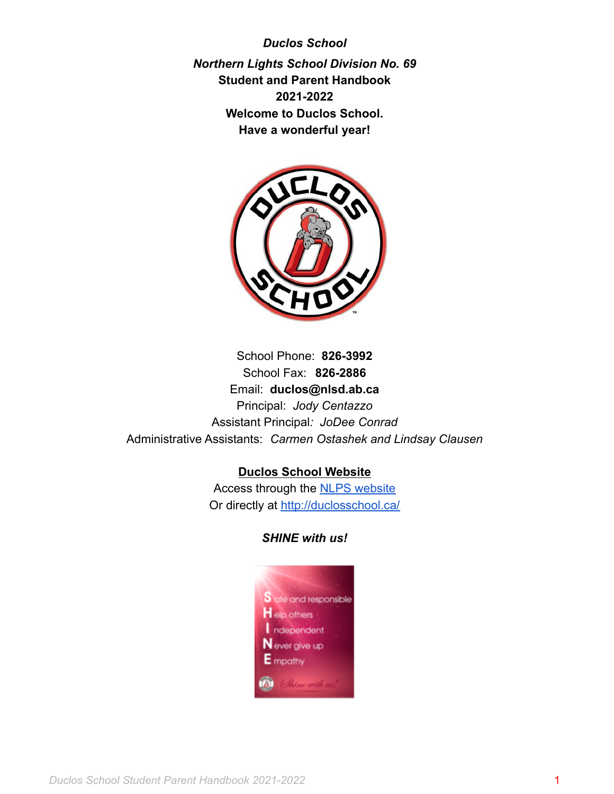*Duclos School Northern Lights School Division No. 69* **Student and Parent Handbook 2021-2022 Welcome to Duclos School. Have a wonderful year!**



School Phone: **826-3992** School Fax: **826-2886** Email: **duclos@nlsd.ab.ca** Principal: *Jody Centazzo* Assistant Principal*: JoDee Conrad* Administrative Assistants: *Carmen Ostashek and Lindsay Clausen*

### **Duclos School Website**

Access through the [NLPS website](https://www.nlpsab.ca/) Or directly at <http://duclosschool.ca/>

#### *SHINE with us!*

<span id="page-0-0"></span>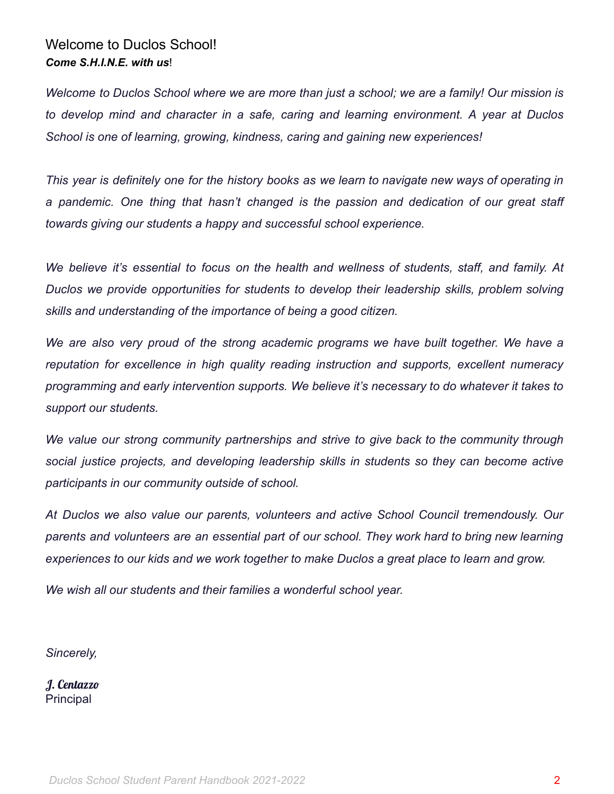# Welcome to Duclos School! *Come S.H.I.N.E. with us*!

Welcome to Duclos School where we are more than just a school; we are a family! Our mission is *to develop mind and character in a safe, caring and learning environment. A year at Duclos School is one of learning, growing, kindness, caring and gaining new experiences!*

This year is definitely one for the history books as we learn to navigate new ways of operating in *a pandemic. One thing that hasn't changed is the passion and dedication of our great staff towards giving our students a happy and successful school experience.*

*We believe it's essential to focus on the health and wellness of students, staff, and family. At Duclos we provide opportunities for students to develop their leadership skills, problem solving skills and understanding of the importance of being a good citizen.*

*We are also very proud of the strong academic programs we have built together. We have a reputation for excellence in high quality reading instruction and supports, excellent numeracy programming and early intervention supports. We believe it's necessary to do whatever it takes to support our students.*

*We value our strong community partnerships and strive to give back to the community through social justice projects, and developing leadership skills in students so they can become active participants in our community outside of school.*

*At Duclos we also value our parents, volunteers and active School Council tremendously. Our parents and volunteers are an essential part of our school. They work hard to bring new learning experiences to our kids and we work together to make Duclos a great place to learn and grow.*

*We wish all our students and their families a wonderful school year.*

*Sincerely,*

J. Centazzo **Principal**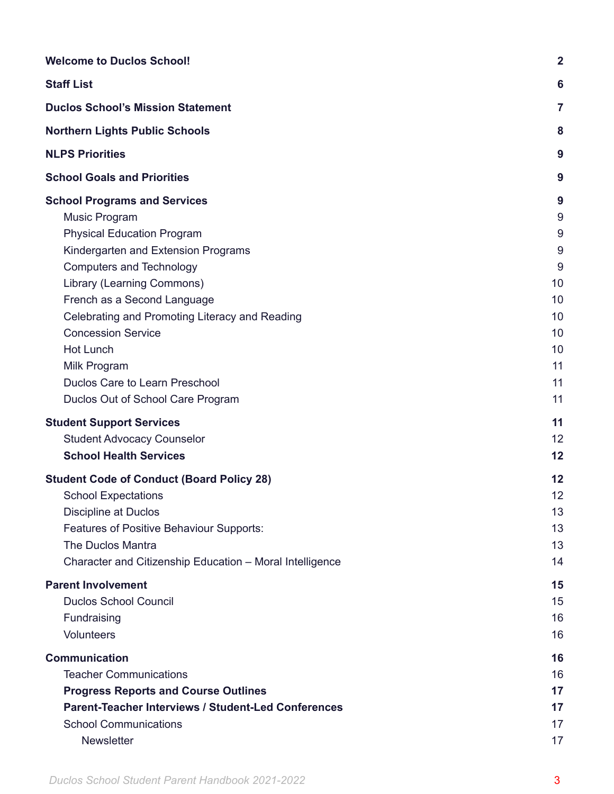| <b>Welcome to Duclos School!</b>                                                                                                                                                                                                                                                                                                                                                                                                  |                                                                                      |
|-----------------------------------------------------------------------------------------------------------------------------------------------------------------------------------------------------------------------------------------------------------------------------------------------------------------------------------------------------------------------------------------------------------------------------------|--------------------------------------------------------------------------------------|
| <b>Staff List</b>                                                                                                                                                                                                                                                                                                                                                                                                                 | 6                                                                                    |
| <b>Duclos School's Mission Statement</b>                                                                                                                                                                                                                                                                                                                                                                                          | 7                                                                                    |
| <b>Northern Lights Public Schools</b>                                                                                                                                                                                                                                                                                                                                                                                             | 8                                                                                    |
| <b>NLPS Priorities</b>                                                                                                                                                                                                                                                                                                                                                                                                            | 9                                                                                    |
| <b>School Goals and Priorities</b>                                                                                                                                                                                                                                                                                                                                                                                                | 9                                                                                    |
| <b>School Programs and Services</b><br><b>Music Program</b><br><b>Physical Education Program</b><br>Kindergarten and Extension Programs<br><b>Computers and Technology</b><br>Library (Learning Commons)<br>French as a Second Language<br>Celebrating and Promoting Literacy and Reading<br><b>Concession Service</b><br><b>Hot Lunch</b><br>Milk Program<br>Duclos Care to Learn Preschool<br>Duclos Out of School Care Program | 9<br>$\boldsymbol{9}$<br>9<br>9<br>9<br>10<br>10<br>10<br>10<br>10<br>11<br>11<br>11 |
| <b>Student Support Services</b><br><b>Student Advocacy Counselor</b><br><b>School Health Services</b>                                                                                                                                                                                                                                                                                                                             | 11<br>12<br>12                                                                       |
| <b>Student Code of Conduct (Board Policy 28)</b><br><b>School Expectations</b><br><b>Discipline at Duclos</b><br><b>Features of Positive Behaviour Supports:</b><br><b>The Duclos Mantra</b><br>Character and Citizenship Education - Moral Intelligence                                                                                                                                                                          | 12<br>12<br>13<br>13<br>13<br>14                                                     |
| <b>Parent Involvement</b><br><b>Duclos School Council</b><br>Fundraising<br>Volunteers                                                                                                                                                                                                                                                                                                                                            | 15<br>15<br>16<br>16                                                                 |
| <b>Communication</b><br><b>Teacher Communications</b><br><b>Progress Reports and Course Outlines</b><br><b>Parent-Teacher Interviews / Student-Led Conferences</b><br><b>School Communications</b><br><b>Newsletter</b>                                                                                                                                                                                                           | 16<br>16<br>17<br>17<br>17<br>17                                                     |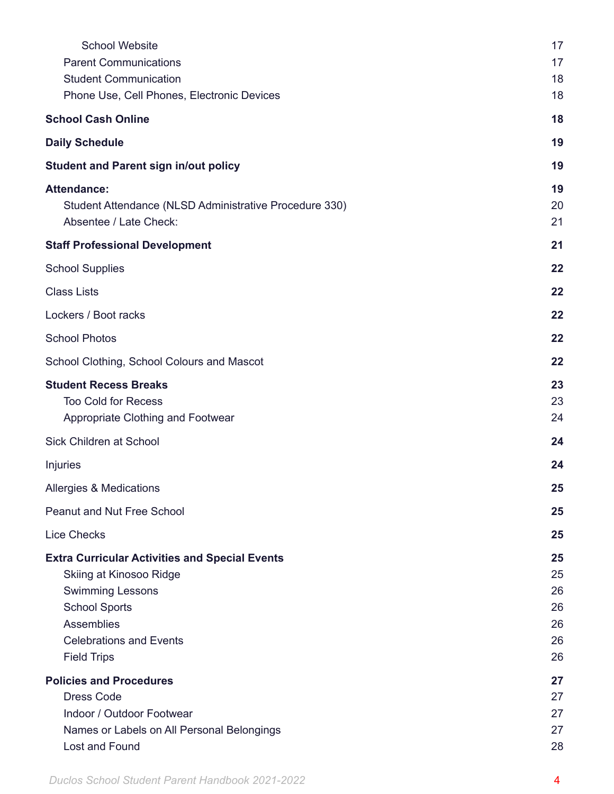| <b>School Website</b>                                  | 17 |
|--------------------------------------------------------|----|
| <b>Parent Communications</b>                           | 17 |
| <b>Student Communication</b>                           | 18 |
| Phone Use, Cell Phones, Electronic Devices             | 18 |
| <b>School Cash Online</b>                              | 18 |
| <b>Daily Schedule</b>                                  | 19 |
| <b>Student and Parent sign in/out policy</b>           | 19 |
| <b>Attendance:</b>                                     | 19 |
| Student Attendance (NLSD Administrative Procedure 330) | 20 |
| Absentee / Late Check:                                 | 21 |
| <b>Staff Professional Development</b>                  | 21 |
| <b>School Supplies</b>                                 | 22 |
| <b>Class Lists</b>                                     | 22 |
| Lockers / Boot racks                                   | 22 |
| <b>School Photos</b>                                   | 22 |
| School Clothing, School Colours and Mascot             | 22 |
| <b>Student Recess Breaks</b>                           | 23 |
| <b>Too Cold for Recess</b>                             | 23 |
| Appropriate Clothing and Footwear                      | 24 |
| Sick Children at School                                | 24 |
| Injuries                                               | 24 |
| Allergies & Medications                                | 25 |
| <b>Peanut and Nut Free School</b>                      | 25 |
| <b>Lice Checks</b>                                     | 25 |
| <b>Extra Curricular Activities and Special Events</b>  | 25 |
| Skiing at Kinosoo Ridge                                | 25 |
| <b>Swimming Lessons</b>                                | 26 |
| <b>School Sports</b>                                   | 26 |
| Assemblies                                             | 26 |
| <b>Celebrations and Events</b>                         | 26 |
| <b>Field Trips</b>                                     | 26 |
| <b>Policies and Procedures</b>                         | 27 |
| <b>Dress Code</b>                                      | 27 |
| Indoor / Outdoor Footwear                              | 27 |
| Names or Labels on All Personal Belongings             | 27 |
| Lost and Found                                         | 28 |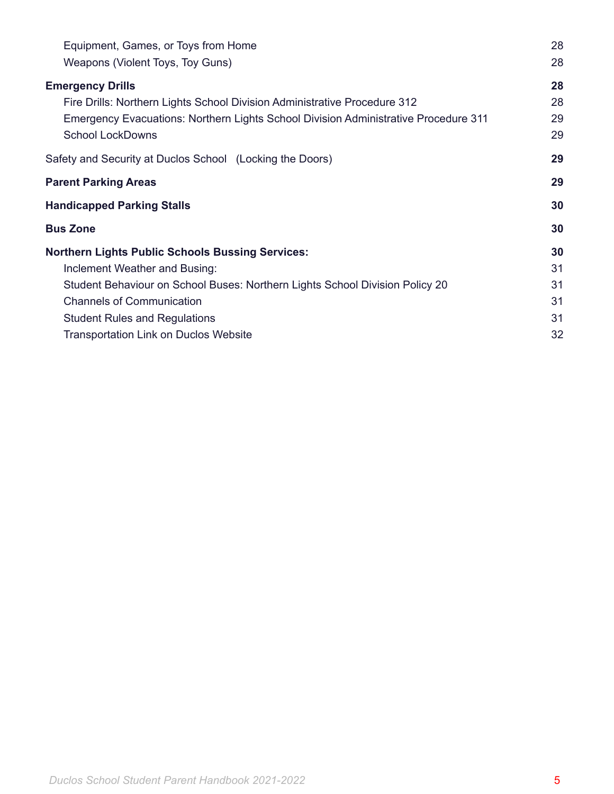| Equipment, Games, or Toys from Home                                                 |    |
|-------------------------------------------------------------------------------------|----|
| Weapons (Violent Toys, Toy Guns)                                                    | 28 |
| <b>Emergency Drills</b>                                                             | 28 |
| Fire Drills: Northern Lights School Division Administrative Procedure 312           | 28 |
| Emergency Evacuations: Northern Lights School Division Administrative Procedure 311 | 29 |
| <b>School LockDowns</b>                                                             | 29 |
| Safety and Security at Duclos School (Locking the Doors)                            | 29 |
| <b>Parent Parking Areas</b>                                                         | 29 |
| <b>Handicapped Parking Stalls</b>                                                   | 30 |
| <b>Bus Zone</b>                                                                     | 30 |
| <b>Northern Lights Public Schools Bussing Services:</b>                             | 30 |
| Inclement Weather and Busing:                                                       | 31 |
| Student Behaviour on School Buses: Northern Lights School Division Policy 20        | 31 |
| <b>Channels of Communication</b>                                                    | 31 |
| <b>Student Rules and Regulations</b>                                                | 31 |
| <b>Transportation Link on Duclos Website</b>                                        | 32 |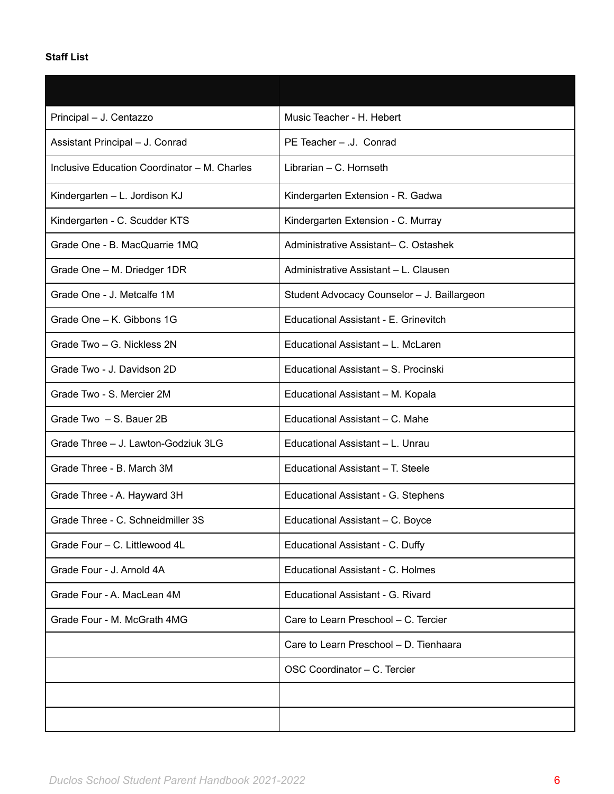# <span id="page-5-0"></span>**Staff List**

| Principal - J. Centazzo                      | Music Teacher - H. Hebert                   |
|----------------------------------------------|---------------------------------------------|
| Assistant Principal - J. Conrad              | PE Teacher - J. Conrad                      |
| Inclusive Education Coordinator - M. Charles | Librarian - C. Hornseth                     |
| Kindergarten - L. Jordison KJ                | Kindergarten Extension - R. Gadwa           |
| Kindergarten - C. Scudder KTS                | Kindergarten Extension - C. Murray          |
| Grade One - B. MacQuarrie 1MQ                | Administrative Assistant- C. Ostashek       |
| Grade One - M. Driedger 1DR                  | Administrative Assistant - L. Clausen       |
| Grade One - J. Metcalfe 1M                   | Student Advocacy Counselor - J. Baillargeon |
| Grade One - K. Gibbons 1G                    | Educational Assistant - E. Grinevitch       |
| Grade Two - G. Nickless 2N                   | Educational Assistant - L. McLaren          |
| Grade Two - J. Davidson 2D                   | Educational Assistant - S. Procinski        |
| Grade Two - S. Mercier 2M                    | Educational Assistant - M. Kopala           |
| Grade Two - S. Bauer 2B                      | Educational Assistant - C. Mahe             |
| Grade Three - J. Lawton-Godziuk 3LG          | Educational Assistant - L. Unrau            |
| Grade Three - B. March 3M                    | Educational Assistant - T. Steele           |
| Grade Three - A. Hayward 3H                  | Educational Assistant - G. Stephens         |
| Grade Three - C. Schneidmiller 3S            | Educational Assistant - C. Boyce            |
| Grade Four - C. Littlewood 4L                | Educational Assistant - C. Duffy            |
| Grade Four - J. Arnold 4A                    | Educational Assistant - C. Holmes           |
| Grade Four - A. MacLean 4M                   | Educational Assistant - G. Rivard           |
| Grade Four - M. McGrath 4MG                  | Care to Learn Preschool - C. Tercier        |
|                                              | Care to Learn Preschool - D. Tienhaara      |
|                                              | OSC Coordinator - C. Tercier                |
|                                              |                                             |
|                                              |                                             |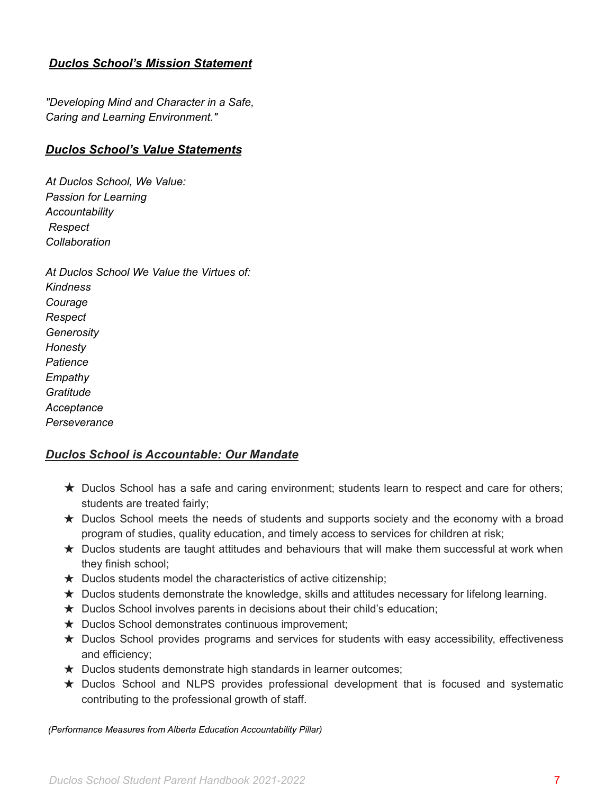# <span id="page-6-0"></span>*Duclos School's Mission Statement*

*"Developing Mind and Character in a Safe, Caring and Learning Environment."*

#### *Duclos School's Value Statements*

*At Duclos School, We Value: Passion for Learning Accountability Respect Collaboration*

*At Duclos School We Value the Virtues of: Kindness Courage Respect Generosity Honesty Patience Empathy Gratitude Acceptance Perseverance*

### *Duclos School is Accountable: Our Mandate*

- ★ Duclos School has a safe and caring environment; students learn to respect and care for others; students are treated fairly;
- ★ Duclos School meets the needs of students and supports society and the economy with a broad program of studies, quality education, and timely access to services for children at risk;
- $\star$  Duclos students are taught attitudes and behaviours that will make them successful at work when they finish school;
- $\star$  Duclos students model the characteristics of active citizenship;
- ★ Duclos students demonstrate the knowledge, skills and attitudes necessary for lifelong learning.
- ★ Duclos School involves parents in decisions about their child's education;
- ★ Duclos School demonstrates continuous improvement;
- ★ Duclos School provides programs and services for students with easy accessibility, effectiveness and efficiency;
- ★ Duclos students demonstrate high standards in learner outcomes;
- ★ Duclos School and NLPS provides professional development that is focused and systematic contributing to the professional growth of staff.

*(Performance Measures from Alberta Education Accountability Pillar)*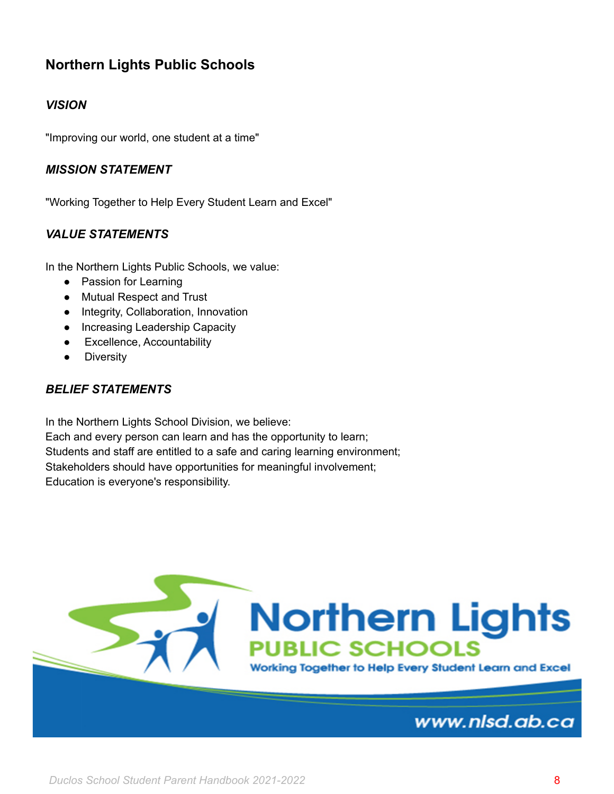# <span id="page-7-0"></span>**Northern Lights Public Schools**

# *VISION*

"Improving our world, one student at a time"

### *MISSION STATEMENT*

"Working Together to Help Every Student Learn and Excel"

### *VALUE STATEMENTS*

In the Northern Lights Public Schools, we value:

- Passion for Learning
- Mutual Respect and Trust
- Integrity, Collaboration, Innovation
- Increasing Leadership Capacity
- Excellence, Accountability
- Diversity

### *BELIEF STATEMENTS*

In the Northern Lights School Division, we believe: Each and every person can learn and has the opportunity to learn; Students and staff are entitled to a safe and caring learning environment; Stakeholders should have opportunities for meaningful involvement; Education is everyone's responsibility.

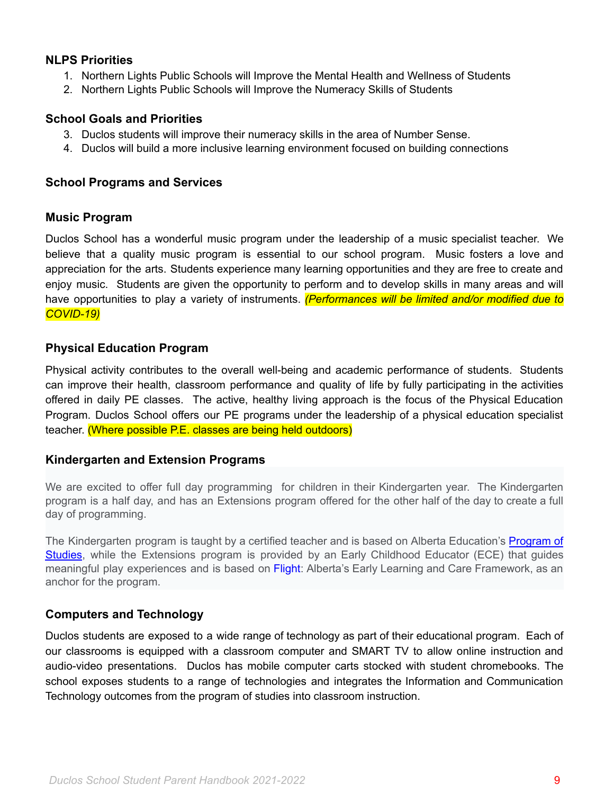### <span id="page-8-0"></span>**NLPS Priorities**

- 1. Northern Lights Public Schools will Improve the Mental Health and Wellness of Students
- 2. Northern Lights Public Schools will Improve the Numeracy Skills of Students

### <span id="page-8-1"></span>**School Goals and Priorities**

- 3. Duclos students will improve their numeracy skills in the area of Number Sense.
- 4. Duclos will build a more inclusive learning environment focused on building connections

#### <span id="page-8-2"></span>**School Programs and Services**

#### <span id="page-8-3"></span>**Music Program**

Duclos School has a wonderful music program under the leadership of a music specialist teacher. We believe that a quality music program is essential to our school program. Music fosters a love and appreciation for the arts. Students experience many learning opportunities and they are free to create and enjoy music. Students are given the opportunity to perform and to develop skills in many areas and will have opportunities to play a variety of instruments. *(Performances will be limited and/or modified due to COVID-19)*

### <span id="page-8-4"></span>**Physical Education Program**

Physical activity contributes to the overall well-being and academic performance of students. Students can improve their health, classroom performance and quality of life by fully participating in the activities offered in daily PE classes. The active, healthy living approach is the focus of the Physical Education Program. Duclos School offers our PE programs under the leadership of a physical education specialist teacher. (Where possible P.E. classes are being held outdoors)

### <span id="page-8-5"></span>**Kindergarten and Extension Programs**

We are excited to offer full day programming for children in their Kindergarten year. The Kindergarten program is a half day, and has an Extensions program offered for the other half of the day to create a full day of programming.

The Kindergarten program is taught by a certified teacher and is based on Alberta Education's [Program](https://www.learnalberta.ca/content/mychildslearning/kindergarten.html) of [Studies](https://www.learnalberta.ca/content/mychildslearning/kindergarten.html), while the Extensions program is provided by an Early Childhood Educator (ECE) that guides meaningful play experiences and is based on [Flight:](https://flightframework.ca/) Alberta's Early Learning and Care Framework, as an anchor for the program.

### <span id="page-8-6"></span>**Computers and Technology**

Duclos students are exposed to a wide range of technology as part of their educational program. Each of our classrooms is equipped with a classroom computer and SMART TV to allow online instruction and audio-video presentations. Duclos has mobile computer carts stocked with student chromebooks. The school exposes students to a range of technologies and integrates the Information and Communication Technology outcomes from the program of studies into classroom instruction.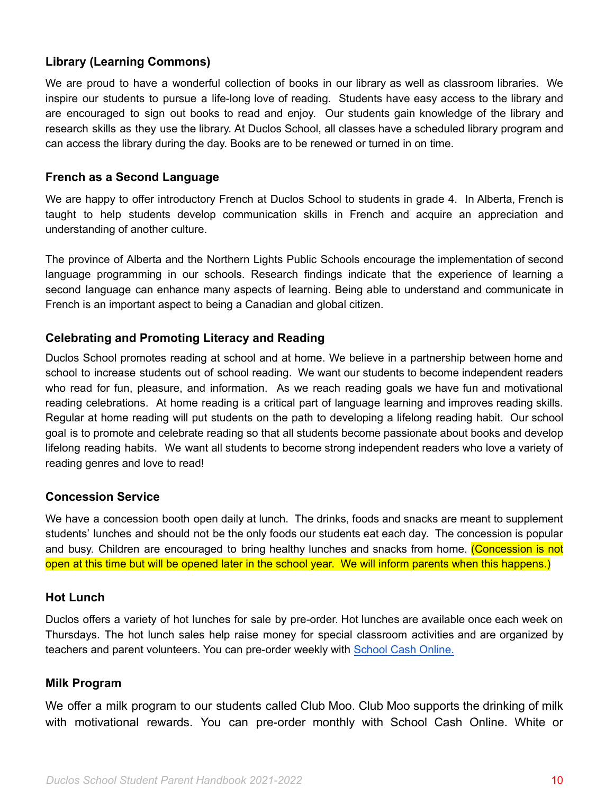# <span id="page-9-0"></span>**Library (Learning Commons)**

We are proud to have a wonderful collection of books in our library as well as classroom libraries. We inspire our students to pursue a life-long love of reading. Students have easy access to the library and are encouraged to sign out books to read and enjoy. Our students gain knowledge of the library and research skills as they use the library. At Duclos School, all classes have a scheduled library program and can access the library during the day. Books are to be renewed or turned in on time.

#### <span id="page-9-1"></span>**French as a Second Language**

We are happy to offer introductory French at Duclos School to students in grade 4. In Alberta, French is taught to help students develop communication skills in French and acquire an appreciation and understanding of another culture.

The province of Alberta and the Northern Lights Public Schools encourage the implementation of second language programming in our schools. Research findings indicate that the experience of learning a second language can enhance many aspects of learning. Being able to understand and communicate in French is an important aspect to being a Canadian and global citizen.

#### <span id="page-9-2"></span>**Celebrating and Promoting Literacy and Reading**

Duclos School promotes reading at school and at home. We believe in a partnership between home and school to increase students out of school reading. We want our students to become independent readers who read for fun, pleasure, and information. As we reach reading goals we have fun and motivational reading celebrations. At home reading is a critical part of language learning and improves reading skills. Regular at home reading will put students on the path to developing a lifelong reading habit. Our school goal is to promote and celebrate reading so that all students become passionate about books and develop lifelong reading habits. We want all students to become strong independent readers who love a variety of reading genres and love to read!

### <span id="page-9-3"></span>**Concession Service**

We have a concession booth open daily at lunch. The drinks, foods and snacks are meant to supplement students' lunches and should not be the only foods our students eat each day. The concession is popular and busy. Children are encouraged to bring healthy lunches and snacks from home. (Concession is not open at this time but will be opened later in the school year. We will inform parents when this happens.)

#### <span id="page-9-4"></span>**Hot Lunch**

Duclos offers a variety of hot lunches for sale by pre-order. Hot lunches are available once each week on Thursdays. The hot lunch sales help raise money for special classroom activities and are organized by teachers and parent volunteers. You can pre-order weekly with School Cash [Online.](https://nlsd.schoolcashonline.com)

#### <span id="page-9-5"></span>**Milk Program**

We offer a milk program to our students called Club Moo. Club Moo supports the drinking of milk with motivational rewards. You can pre-order monthly with School Cash Online. White or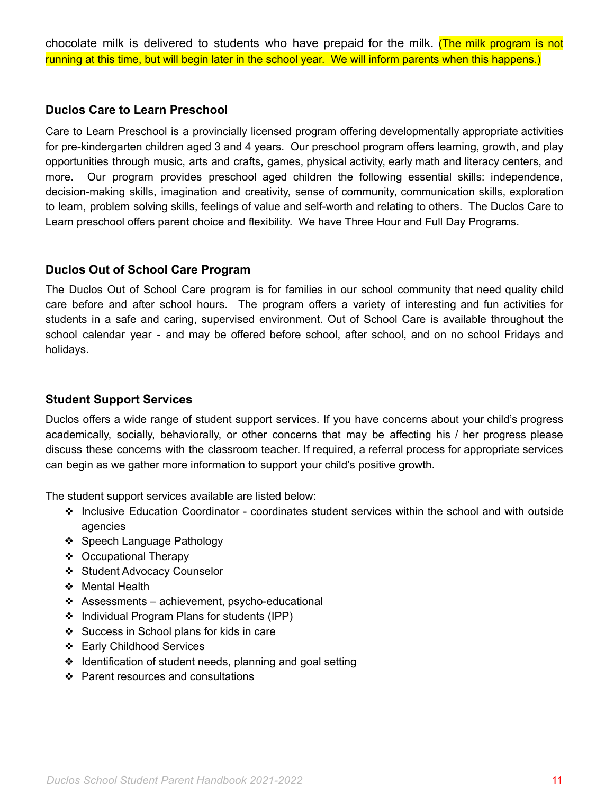chocolate milk is delivered to students who have prepaid for the milk. (The milk program is not running at this time, but will begin later in the school year. We will inform parents when this happens.)

#### <span id="page-10-0"></span>**Duclos Care to Learn Preschool**

Care to Learn Preschool is a provincially licensed program offering developmentally appropriate activities for pre-kindergarten children aged 3 and 4 years. Our preschool program offers learning, growth, and play opportunities through music, arts and crafts, games, physical activity, early math and literacy centers, and more. Our program provides preschool aged children the following essential skills: independence, decision-making skills, imagination and creativity, sense of community, communication skills, exploration to learn, problem solving skills, feelings of value and self-worth and relating to others. The Duclos Care to Learn preschool offers parent choice and flexibility. We have Three Hour and Full Day Programs.

#### <span id="page-10-1"></span>**Duclos Out of School Care Program**

The Duclos Out of School Care program is for families in our school community that need quality child care before and after school hours. The program offers a variety of interesting and fun activities for students in a safe and caring, supervised environment. Out of School Care is available throughout the school calendar year - and may be offered before school, after school, and on no school Fridays and holidays.

#### <span id="page-10-2"></span>**Student Support Services**

Duclos offers a wide range of student support services. If you have concerns about your child's progress academically, socially, behaviorally, or other concerns that may be affecting his / her progress please discuss these concerns with the classroom teacher. If required, a referral process for appropriate services can begin as we gather more information to support your child's positive growth.

The student support services available are listed below:

- ❖ Inclusive Education Coordinator coordinates student services within the school and with outside agencies
- ❖ Speech Language Pathology
- ❖ Occupational Therapy
- ❖ Student Advocacy Counselor
- ❖ Mental Health
- $\triangleleft$  Assessments achievement, psycho-educational
- ❖ Individual Program Plans for students (IPP)
- ❖ Success in School plans for kids in care
- ❖ Early Childhood Services
- ❖ Identification of student needs, planning and goal setting
- ❖ Parent resources and consultations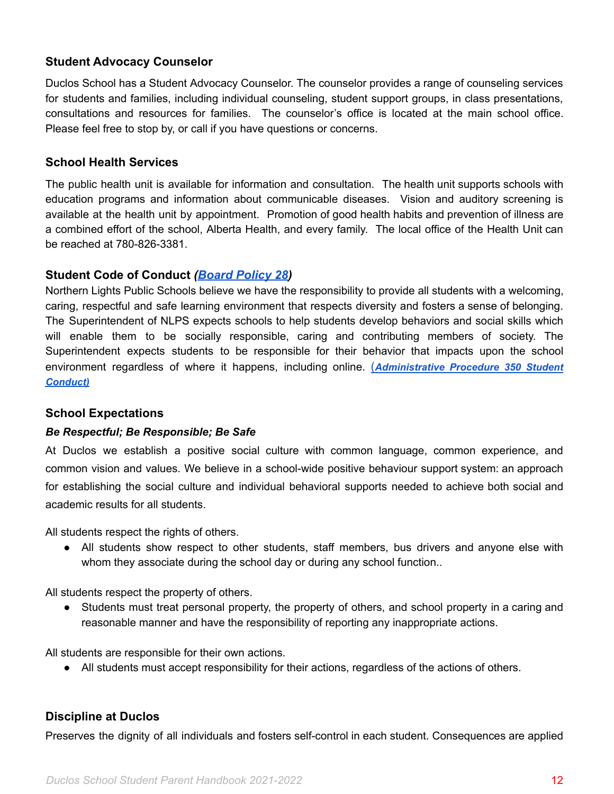### <span id="page-11-0"></span>**Student Advocacy Counselor**

Duclos School has a Student Advocacy Counselor. The counselor provides a range of counseling services for students and families, including individual counseling, student support groups, in class presentations, consultations and resources for families. The counselor's office is located at the main school office. Please feel free to stop by, or call if you have questions or concerns.

#### <span id="page-11-1"></span>**School Health Services**

The public health unit is available for information and consultation. The health unit supports schools with education programs and information about communicable diseases. Vision and auditory screening is available at the health unit by appointment. Promotion of good health habits and prevention of illness are a combined effort of the school, Alberta Health, and every family. The local office of the Health Unit can be reached at 780-826-3381.

### <span id="page-11-2"></span>**Student Code of Conduct** *[\(Board Policy 28](https://www.nlpsab.ca/download/137162))*

Northern Lights Public Schools believe we have the responsibility to provide all students with a welcoming, caring, respectful and safe learning environment that respects diversity and fosters a sense of belonging. The Superintendent of NLPS expects schools to help students develop behaviors and social skills which will enable them to be socially responsible, caring and contributing members of society. The Superintendent expects students to be responsible for their behavior that impacts upon the school environment regardless of where it happens, including online. (*[Administrative](https://www.nlpsab.ca/download/137256) Procedure 350 Student [Conduct\)](https://www.nlpsab.ca/download/137256)*

#### <span id="page-11-3"></span>**School Expectations**

#### *Be Respectful; Be Responsible; Be Safe*

At Duclos we establish a positive social culture with common language, common experience, and common vision and values. We believe in a school-wide positive behaviour support system: an approach for establishing the social culture and individual behavioral supports needed to achieve both social and academic results for all students.

All students respect the rights of others.

• All students show respect to other students, staff members, bus drivers and anyone else with whom they associate during the school day or during any school function..

All students respect the property of others.

• Students must treat personal property, the property of others, and school property in a caring and reasonable manner and have the responsibility of reporting any inappropriate actions.

All students are responsible for their own actions.

● All students must accept responsibility for their actions, regardless of the actions of others.

### <span id="page-11-4"></span>**Discipline at Duclos**

Preserves the dignity of all individuals and fosters self-control in each student. Consequences are applied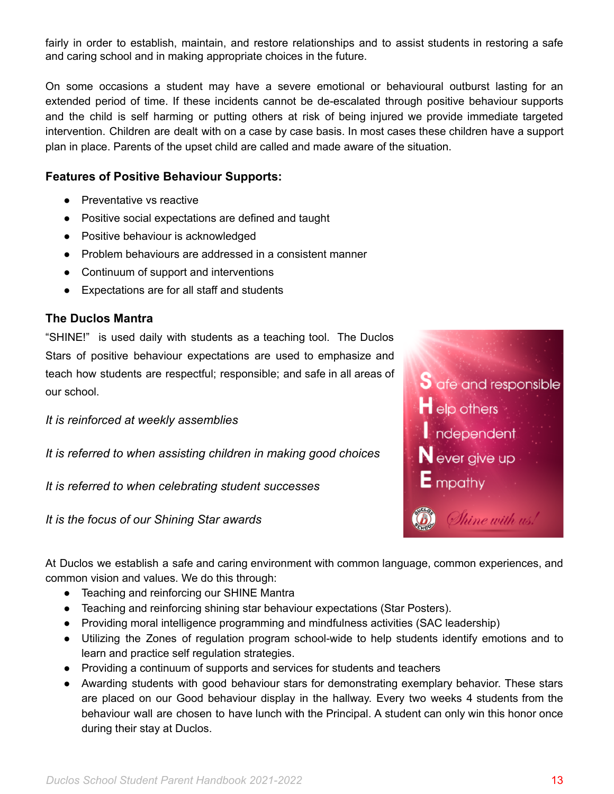fairly in order to establish, maintain, and restore relationships and to assist students in restoring a safe and caring school and in making appropriate choices in the future.

On some occasions a student may have a severe emotional or behavioural outburst lasting for an extended period of time. If these incidents cannot be de-escalated through positive behaviour supports and the child is self harming or putting others at risk of being injured we provide immediate targeted intervention. Children are dealt with on a case by case basis. In most cases these children have a support plan in place. Parents of the upset child are called and made aware of the situation.

# <span id="page-12-0"></span>**Features of Positive Behaviour Supports:**

- Preventative vs reactive
- Positive social expectations are defined and taught
- Positive behaviour is acknowledged
- Problem behaviours are addressed in a consistent manner
- Continuum of support and interventions
- Expectations are for all staff and students

# <span id="page-12-1"></span>**The Duclos Mantra**

"SHINE!" is used daily with students as a teaching tool. The Duclos Stars of positive behaviour expectations are used to emphasize and teach how students are respectful; responsible; and safe in all areas of our school.

*It is reinforced at weekly assemblies*

*It is referred to when assisting children in making good choices*

*It is referred to when celebrating student successes*

*It is the focus of our Shining Star awards*



At Duclos we establish a safe and caring environment with common language, common experiences, and common vision and values. We do this through:

- Teaching and reinforcing our SHINE Mantra
- Teaching and reinforcing shining star behaviour expectations (Star Posters).
- Providing moral intelligence programming and mindfulness activities (SAC leadership)
- Utilizing the Zones of regulation program school-wide to help students identify emotions and to learn and practice self regulation strategies.
- Providing a continuum of supports and services for students and teachers
- Awarding students with good behaviour stars for demonstrating exemplary behavior. These stars are placed on our Good behaviour display in the hallway. Every two weeks 4 students from the behaviour wall are chosen to have lunch with the Principal. A student can only win this honor once during their stay at Duclos.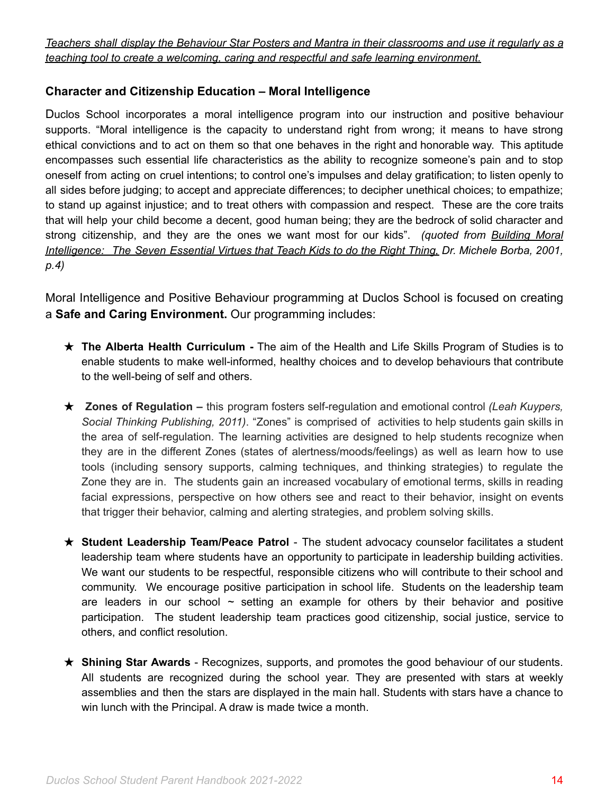Teachers shall display the Behaviour Star Posters and Mantra in their classrooms and use it regularly as a *teaching tool to create a welcoming, caring and respectful and safe learning environment.*

### <span id="page-13-0"></span>**Character and Citizenship Education – Moral Intelligence**

Duclos School incorporates a moral intelligence program into our instruction and positive behaviour supports. "Moral intelligence is the capacity to understand right from wrong; it means to have strong ethical convictions and to act on them so that one behaves in the right and honorable way. This aptitude encompasses such essential life characteristics as the ability to recognize someone's pain and to stop oneself from acting on cruel intentions; to control one's impulses and delay gratification; to listen openly to all sides before judging; to accept and appreciate differences; to decipher unethical choices; to empathize; to stand up against injustice; and to treat others with compassion and respect. These are the core traits that will help your child become a decent, good human being; they are the bedrock of solid character and strong citizenship, and they are the ones we want most for our kids". *(quoted from Building Moral Intelligence: The Seven Essential Virtues that Teach Kids to do the Right Thing, Dr. Michele Borba, 2001, p.4)*

Moral Intelligence and Positive Behaviour programming at Duclos School is focused on creating a **Safe and Caring Environment.** Our programming includes:

- ★ **The Alberta Health Curriculum -** The aim of the Health and Life Skills Program of Studies is to enable students to make well-informed, healthy choices and to develop behaviours that contribute to the well-being of self and others.
- ★ **Zones of Regulation –** this program fosters self-regulation and emotional control *(Leah Kuypers, Social Thinking Publishing, 2011)*. "Zones" is comprised of activities to help students gain skills in the area of self-regulation. The learning activities are designed to help students recognize when they are in the different Zones (states of alertness/moods/feelings) as well as learn how to use tools (including sensory supports, calming techniques, and thinking strategies) to regulate the Zone they are in. The students gain an increased vocabulary of emotional terms, skills in reading facial expressions, perspective on how others see and react to their behavior, insight on events that trigger their behavior, calming and alerting strategies, and problem solving skills.
- ★ **Student Leadership Team/Peace Patrol** The student advocacy counselor facilitates a student leadership team where students have an opportunity to participate in leadership building activities. We want our students to be respectful, responsible citizens who will contribute to their school and community. We encourage positive participation in school life. Students on the leadership team are leaders in our school  $\sim$  setting an example for others by their behavior and positive participation. The student leadership team practices good citizenship, social justice, service to others, and conflict resolution.
- ★ **Shining Star Awards** Recognizes, supports, and promotes the good behaviour of our students. All students are recognized during the school year. They are presented with stars at weekly assemblies and then the stars are displayed in the main hall. Students with stars have a chance to win lunch with the Principal. A draw is made twice a month.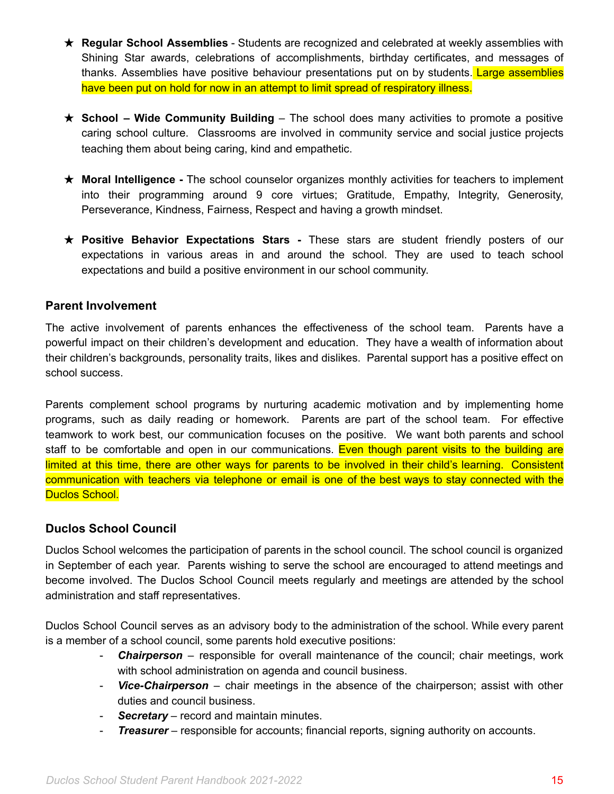- ★ **Regular School Assemblies** Students are recognized and celebrated at weekly assemblies with Shining Star awards, celebrations of accomplishments, birthday certificates, and messages of thanks. Assemblies have positive behaviour presentations put on by students. Large assemblies have been put on hold for now in an attempt to limit spread of respiratory illness.
- ★ **School – Wide Community Building** The school does many activities to promote a positive caring school culture. Classrooms are involved in community service and social justice projects teaching them about being caring, kind and empathetic.
- ★ **Moral Intelligence -** The school counselor organizes monthly activities for teachers to implement into their programming around 9 core virtues; Gratitude, Empathy, Integrity, Generosity, Perseverance, Kindness, Fairness, Respect and having a growth mindset.
- ★ **Positive Behavior Expectations Stars -** These stars are student friendly posters of our expectations in various areas in and around the school. They are used to teach school expectations and build a positive environment in our school community.

### <span id="page-14-0"></span>**Parent Involvement**

The active involvement of parents enhances the effectiveness of the school team. Parents have a powerful impact on their children's development and education. They have a wealth of information about their children's backgrounds, personality traits, likes and dislikes. Parental support has a positive effect on school success.

Parents complement school programs by nurturing academic motivation and by implementing home programs, such as daily reading or homework. Parents are part of the school team. For effective teamwork to work best, our communication focuses on the positive. We want both parents and school staff to be comfortable and open in our communications. Even though parent visits to the building are limited at this time, there are other ways for parents to be involved in their child's learning. Consistent communication with teachers via telephone or email is one of the best ways to stay connected with the Duclos School.

### <span id="page-14-1"></span>**Duclos School Council**

Duclos School welcomes the participation of parents in the school council. The school council is organized in September of each year. Parents wishing to serve the school are encouraged to attend meetings and become involved. The Duclos School Council meets regularly and meetings are attended by the school administration and staff representatives.

Duclos School Council serves as an advisory body to the administration of the school. While every parent is a member of a school council, some parents hold executive positions:

- **Chairperson** responsible for overall maintenance of the council; chair meetings, work with school administration on agenda and council business.
- *Vice-Chairperson* chair meetings in the absence of the chairperson; assist with other duties and council business.
- *Secretary –* record and maintain minutes.
- *Treasurer* responsible for accounts; financial reports, signing authority on accounts.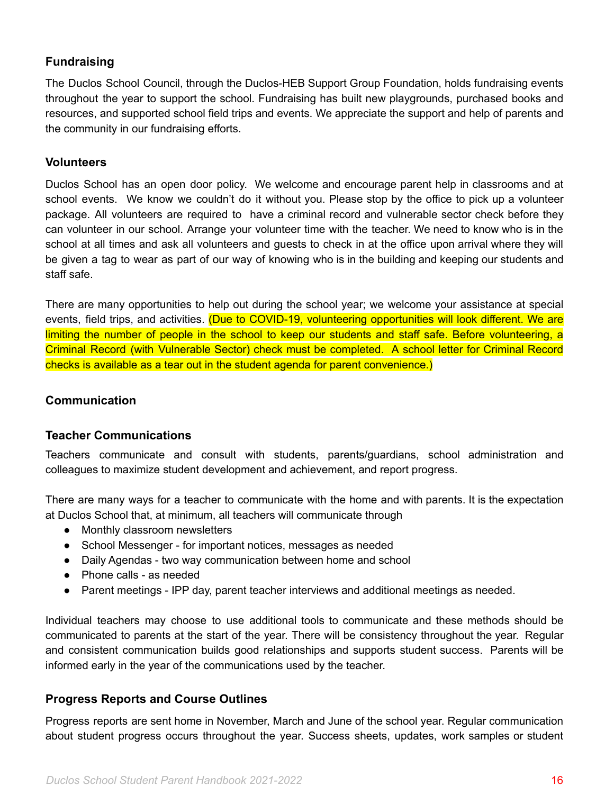### <span id="page-15-0"></span>**Fundraising**

The Duclos School Council, through the Duclos-HEB Support Group Foundation, holds fundraising events throughout the year to support the school. Fundraising has built new playgrounds, purchased books and resources, and supported school field trips and events. We appreciate the support and help of parents and the community in our fundraising efforts.

#### <span id="page-15-1"></span>**Volunteers**

Duclos School has an open door policy. We welcome and encourage parent help in classrooms and at school events. We know we couldn't do it without you. Please stop by the office to pick up a volunteer package. All volunteers are required to have a criminal record and vulnerable sector check before they can volunteer in our school. Arrange your volunteer time with the teacher. We need to know who is in the school at all times and ask all volunteers and guests to check in at the office upon arrival where they will be given a tag to wear as part of our way of knowing who is in the building and keeping our students and staff safe.

There are many opportunities to help out during the school year; we welcome your assistance at special events, field trips, and activities. (Due to COVID-19, volunteering opportunities will look different. We are limiting the number of people in the school to keep our students and staff safe. Before volunteering, a Criminal Record (with Vulnerable Sector) check must be completed. A school letter for Criminal Record checks is available as a tear out in the student agenda for parent convenience.)

#### <span id="page-15-2"></span>**Communication**

### <span id="page-15-3"></span>**Teacher Communications**

Teachers communicate and consult with students, parents/guardians, school administration and colleagues to maximize student development and achievement, and report progress.

There are many ways for a teacher to communicate with the home and with parents. It is the expectation at Duclos School that, at minimum, all teachers will communicate through

- Monthly classroom newsletters
- School Messenger for important notices, messages as needed
- Daily Agendas two way communication between home and school
- Phone calls as needed
- Parent meetings IPP day, parent teacher interviews and additional meetings as needed.

Individual teachers may choose to use additional tools to communicate and these methods should be communicated to parents at the start of the year. There will be consistency throughout the year. Regular and consistent communication builds good relationships and supports student success. Parents will be informed early in the year of the communications used by the teacher.

### <span id="page-15-4"></span>**Progress Reports and Course Outlines**

Progress reports are sent home in November, March and June of the school year. Regular communication about student progress occurs throughout the year. Success sheets, updates, work samples or student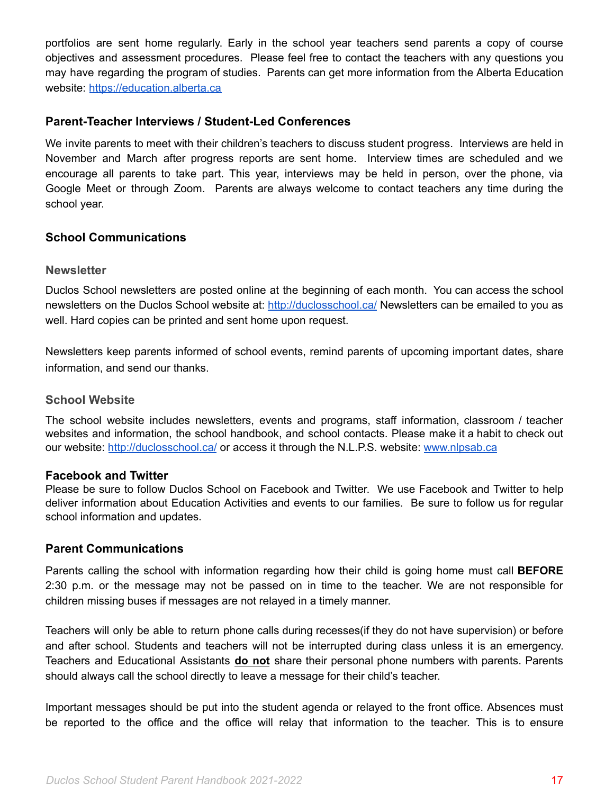portfolios are sent home regularly. Early in the school year teachers send parents a copy of course objectives and assessment procedures. Please feel free to contact the teachers with any questions you may have regarding the program of studies. Parents can get more information from the Alberta Education website: [https://education.alberta.ca](https://education.alberta.ca/)

#### <span id="page-16-0"></span>**Parent-Teacher Interviews / Student-Led Conferences**

We invite parents to meet with their children's teachers to discuss student progress. Interviews are held in November and March after progress reports are sent home. Interview times are scheduled and we encourage all parents to take part. This year, interviews may be held in person, over the phone, via Google Meet or through Zoom. Parents are always welcome to contact teachers any time during the school year.

### <span id="page-16-1"></span>**School Communications**

#### <span id="page-16-2"></span>**Newsletter**

Duclos School newsletters are posted online at the beginning of each month. You can access the school newsletters on the Duclos School website at: <http://duclosschool.ca/> Newsletters can be emailed to you as well. Hard copies can be printed and sent home upon request.

Newsletters keep parents informed of school events, remind parents of upcoming important dates, share information, and send our thanks.

#### <span id="page-16-3"></span>**School Website**

The school website includes newsletters, events and programs, staff information, classroom / teacher websites and information, the school handbook, and school contacts. Please make it a habit to check out our website: <http://duclosschool.ca/> or access it through the N.L.P.S. website: [www.nlpsab.ca](http://www.nlpsab.ca)

#### **Facebook and Twitter**

Please be sure to follow Duclos School on Facebook and Twitter. We use Facebook and Twitter to help deliver information about Education Activities and events to our families. Be sure to follow us for regular school information and updates.

#### <span id="page-16-4"></span>**Parent Communications**

Parents calling the school with information regarding how their child is going home must call **BEFORE** 2:30 p.m. or the message may not be passed on in time to the teacher. We are not responsible for children missing buses if messages are not relayed in a timely manner.

Teachers will only be able to return phone calls during recesses(if they do not have supervision) or before and after school. Students and teachers will not be interrupted during class unless it is an emergency. Teachers and Educational Assistants **do not** share their personal phone numbers with parents. Parents should always call the school directly to leave a message for their child's teacher.

Important messages should be put into the student agenda or relayed to the front office. Absences must be reported to the office and the office will relay that information to the teacher. This is to ensure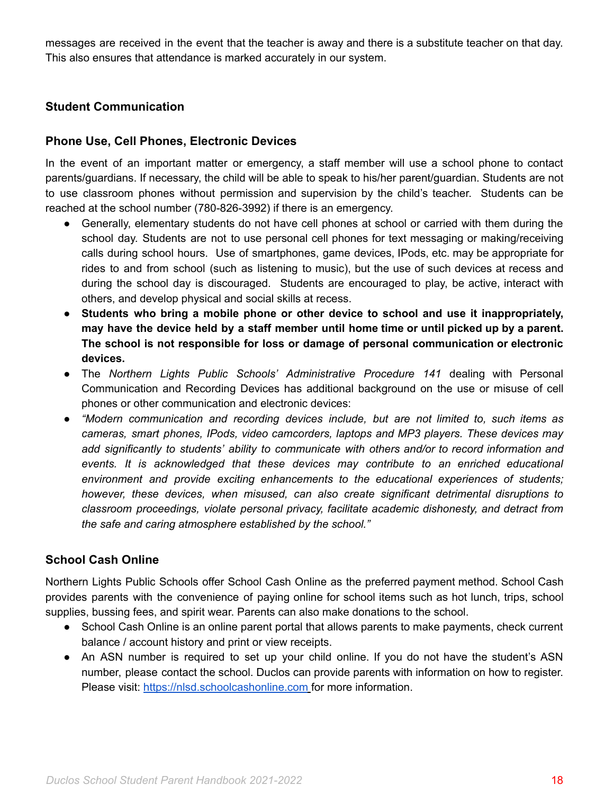messages are received in the event that the teacher is away and there is a substitute teacher on that day. This also ensures that attendance is marked accurately in our system.

### <span id="page-17-0"></span>**Student Communication**

### <span id="page-17-1"></span>**Phone Use, Cell Phones, Electronic Devices**

In the event of an important matter or emergency, a staff member will use a school phone to contact parents/guardians. If necessary, the child will be able to speak to his/her parent/guardian. Students are not to use classroom phones without permission and supervision by the child's teacher. Students can be reached at the school number (780-826-3992) if there is an emergency.

- Generally, elementary students do not have cell phones at school or carried with them during the school day. Students are not to use personal cell phones for text messaging or making/receiving calls during school hours. Use of smartphones, game devices, IPods, etc. may be appropriate for rides to and from school (such as listening to music), but the use of such devices at recess and during the school day is discouraged. Students are encouraged to play, be active, interact with others, and develop physical and social skills at recess.
- **Students who bring a mobile phone or other device to school and use it inappropriately, may have the device held by a staff member until home time or until picked up by a parent. The school is not responsible for loss or damage of personal communication or electronic devices.**
- The *Northern Lights Public Schools' Administrative Procedure 141* dealing with Personal Communication and Recording Devices has additional background on the use or misuse of cell phones or other communication and electronic devices:
- *"Modern communication and recording devices include, but are not limited to, such items as cameras, smart phones, IPods, video camcorders, laptops and MP3 players. These devices may add significantly to students' ability to communicate with others and/or to record information and events. It is acknowledged that these devices may contribute to an enriched educational environment and provide exciting enhancements to the educational experiences of students; however, these devices, when misused, can also create significant detrimental disruptions to classroom proceedings, violate personal privacy, facilitate academic dishonesty, and detract from the safe and caring atmosphere established by the school."*

### <span id="page-17-2"></span>**School Cash Online**

Northern Lights Public Schools offer School Cash Online as the preferred payment method. School Cash provides parents with the convenience of paying online for school items such as hot lunch, trips, school supplies, bussing fees, and spirit wear. Parents can also make donations to the school.

- School Cash Online is an online parent portal that allows parents to make payments, check current balance / account history and print or view receipts.
- <span id="page-17-3"></span>• An ASN number is required to set up your child online. If you do not have the student's ASN number, please contact the school. Duclos can provide parents with information on how to register. Please visit: <https://nlsd.schoolcashonline.com> for more information.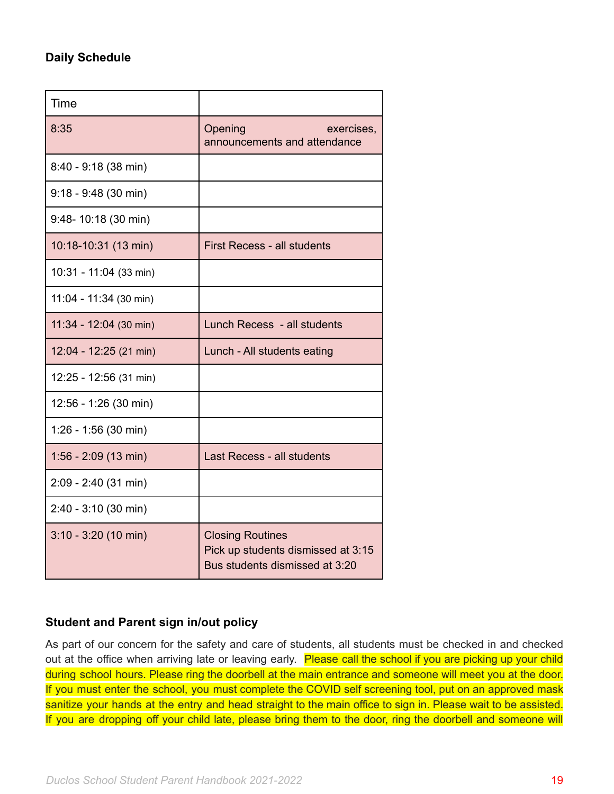# **Daily Schedule**

| Time                   |                                                                                                 |
|------------------------|-------------------------------------------------------------------------------------------------|
| 8:35                   | Opening<br>exercises,<br>announcements and attendance                                           |
| 8:40 - 9:18 (38 min)   |                                                                                                 |
| $9:18 - 9:48$ (30 min) |                                                                                                 |
| 9:48-10:18 (30 min)    |                                                                                                 |
| 10:18-10:31 (13 min)   | <b>First Recess - all students</b>                                                              |
| 10:31 - 11:04 (33 min) |                                                                                                 |
| 11:04 - 11:34 (30 min) |                                                                                                 |
| 11:34 - 12:04 (30 min) | Lunch Recess - all students                                                                     |
| 12:04 - 12:25 (21 min) | Lunch - All students eating                                                                     |
| 12:25 - 12:56 (31 min) |                                                                                                 |
| 12:56 - 1:26 (30 min)  |                                                                                                 |
| $1:26 - 1:56$ (30 min) |                                                                                                 |
| $1:56 - 2:09(13 min)$  | Last Recess - all students                                                                      |
| 2:09 - 2:40 (31 min)   |                                                                                                 |
| $2:40 - 3:10$ (30 min) |                                                                                                 |
| $3:10 - 3:20$ (10 min) | <b>Closing Routines</b><br>Pick up students dismissed at 3:15<br>Bus students dismissed at 3:20 |

# <span id="page-18-0"></span>**Student and Parent sign in/out policy**

As part of our concern for the safety and care of students, all students must be checked in and checked out at the office when arriving late or leaving early. Please call the school if you are picking up your child during school hours. Please ring the doorbell at the main entrance and someone will meet you at the door. If you must enter the school, you must complete the COVID self screening tool, put on an approved mask sanitize your hands at the entry and head straight to the main office to sign in. Please wait to be assisted. If you are dropping off your child late, please bring them to the door, ring the doorbell and someone will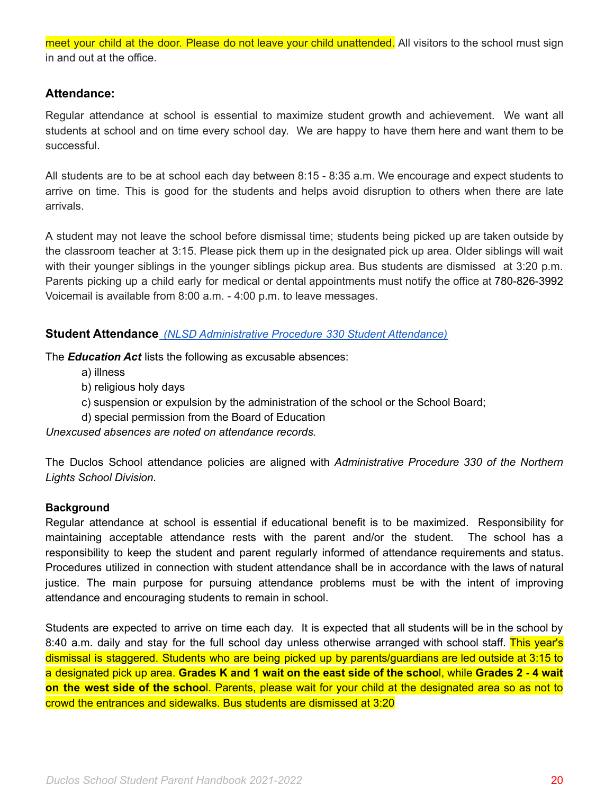meet your child at the door. Please do not leave your child unattended. All visitors to the school must sign in and out at the office.

### <span id="page-19-0"></span>**Attendance:**

Regular attendance at school is essential to maximize student growth and achievement. We want all students at school and on time every school day. We are happy to have them here and want them to be successful.

All students are to be at school each day between 8:15 - 8:35 a.m. We encourage and expect students to arrive on time. This is good for the students and helps avoid disruption to others when there are late arrivals.

A student may not leave the school before dismissal time; students being picked up are taken outside by the classroom teacher at 3:15. Please pick them up in the designated pick up area. Older siblings will wait with their younger siblings in the younger siblings pickup area. Bus students are dismissed at 3:20 p.m. Parents picking up a child early for medical or dental appointments must notify the office at 780-826-3992 Voicemail is available from 8:00 a.m. - 4:00 p.m. to leave messages.

### <span id="page-19-1"></span>**Student Attendance** *(NLSD [Administrative](https://www.nlpsab.ca/download/137273) Procedure 330 Student Attendance)*

The *Education Act* lists the following as excusable absences:

- a) illness
- b) religious holy days
- c) suspension or expulsion by the administration of the school or the School Board;
- d) special permission from the Board of Education

*Unexcused absences are noted on attendance records.*

The Duclos School attendance policies are aligned with *Administrative Procedure 330 of the Northern Lights School Division.*

### **Background**

Regular attendance at school is essential if educational benefit is to be maximized. Responsibility for maintaining acceptable attendance rests with the parent and/or the student. The school has a responsibility to keep the student and parent regularly informed of attendance requirements and status. Procedures utilized in connection with student attendance shall be in accordance with the laws of natural justice. The main purpose for pursuing attendance problems must be with the intent of improving attendance and encouraging students to remain in school.

Students are expected to arrive on time each day. It is expected that all students will be in the school by 8:40 a.m. daily and stay for the full school day unless otherwise arranged with school staff. This year's dismissal is staggered. Students who are being picked up by parents/guardians are led outside at 3:15 to a designated pick up area. **Grades K and 1 wait on the east side of the schoo**l, while **Grades 2 - 4 wait on the west side of the schoo**l. Parents, please wait for your child at the designated area so as not to crowd the entrances and sidewalks. Bus students are dismissed at 3:20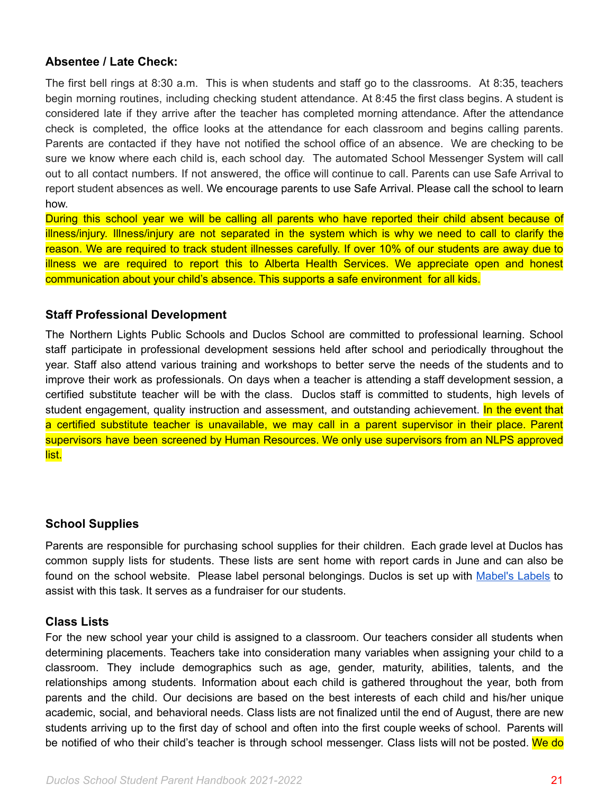### <span id="page-20-0"></span>**Absentee / Late Check:**

The first bell rings at 8:30 a.m. This is when students and staff go to the classrooms. At 8:35, teachers begin morning routines, including checking student attendance. At 8:45 the first class begins. A student is considered late if they arrive after the teacher has completed morning attendance. After the attendance check is completed, the office looks at the attendance for each classroom and begins calling parents. Parents are contacted if they have not notified the school office of an absence. We are checking to be sure we know where each child is, each school day. The automated School Messenger System will call out to all contact numbers. If not answered, the office will continue to call. Parents can use Safe Arrival to report student absences as well. We encourage parents to use Safe Arrival. Please call the school to learn how.

During this school year we will be calling all parents who have reported their child absent because of illness/injury. Illness/injury are not separated in the system which is why we need to call to clarify the reason. We are required to track student illnesses carefully. If over 10% of our students are away due to illness we are required to report this to Alberta Health Services. We appreciate open and honest communication about your child's absence. This supports a safe environment for all kids.

### <span id="page-20-1"></span>**Staff Professional Development**

The Northern Lights Public Schools and Duclos School are committed to professional learning. School staff participate in professional development sessions held after school and periodically throughout the year. Staff also attend various training and workshops to better serve the needs of the students and to improve their work as professionals. On days when a teacher is attending a staff development session, a certified substitute teacher will be with the class. Duclos staff is committed to students, high levels of student engagement, quality instruction and assessment, and outstanding achievement. In the event that a certified substitute teacher is unavailable, we may call in a parent supervisor in their place. Parent supervisors have been screened by Human Resources. We only use supervisors from an NLPS approved list.

### <span id="page-20-2"></span>**School Supplies**

Parents are responsible for purchasing school supplies for their children. Each grade level at Duclos has common supply lists for students. These lists are sent home with report cards in June and can also be found on the school website. Please label personal belongings. Duclos is set up with [Mabel's](https://mabelslabels.ca/en_CA/fundraising/support/) Labels to assist with this task. It serves as a fundraiser for our students.

### **Class Lists**

For the new school year your child is assigned to a classroom. Our teachers consider all students when determining placements. Teachers take into consideration many variables when assigning your child to a classroom. They include demographics such as age, gender, maturity, abilities, talents, and the relationships among students. Information about each child is gathered throughout the year, both from parents and the child. Our decisions are based on the best interests of each child and his/her unique academic, social, and behavioral needs. Class lists are not finalized until the end of August, there are new students arriving up to the first day of school and often into the first couple weeks of school. Parents will be notified of who their child's teacher is through school messenger. Class lists will not be posted. We do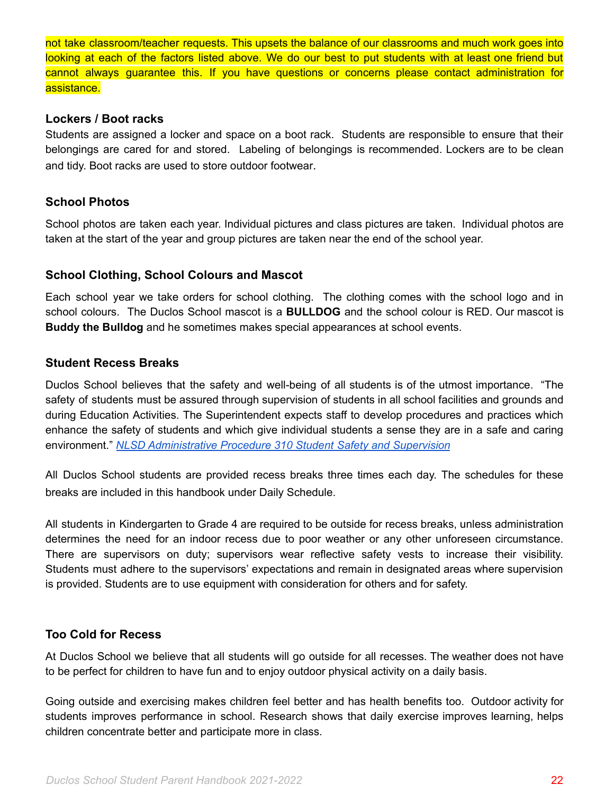not take classroom/teacher requests. This upsets the balance of our classrooms and much work goes into looking at each of the factors listed above. We do our best to put students with at least one friend but cannot always guarantee this. If you have questions or concerns please contact administration for assistance.

#### **Lockers / Boot racks**

Students are assigned a locker and space on a boot rack. Students are responsible to ensure that their belongings are cared for and stored. Labeling of belongings is recommended. Lockers are to be clean and tidy. Boot racks are used to store outdoor footwear.

### <span id="page-21-0"></span>**School Photos**

School photos are taken each year. Individual pictures and class pictures are taken. Individual photos are taken at the start of the year and group pictures are taken near the end of the school year.

### <span id="page-21-1"></span>**School Clothing, School Colours and Mascot**

Each school year we take orders for school clothing. The clothing comes with the school logo and in school colours. The Duclos School mascot is a **BULLDOG** and the school colour is RED. Our mascot is **Buddy the Bulldog** and he sometimes makes special appearances at school events.

### <span id="page-21-2"></span>**Student Recess Breaks**

Duclos School believes that the safety and well-being of all students is of the utmost importance. "The safety of students must be assured through supervision of students in all school facilities and grounds and during Education Activities. The Superintendent expects staff to develop procedures and practices which enhance the safety of students and which give individual students a sense they are in a safe and caring environment." *NLSD [Administrative](https://www.nlpsab.ca/download/137275) Procedure 310 Student Safety and Supervision*

All Duclos School students are provided recess breaks three times each day. The schedules for these breaks are included in this handbook under Daily Schedule.

All students in Kindergarten to Grade 4 are required to be outside for recess breaks, unless administration determines the need for an indoor recess due to poor weather or any other unforeseen circumstance. There are supervisors on duty; supervisors wear reflective safety vests to increase their visibility. Students must adhere to the supervisors' expectations and remain in designated areas where supervision is provided. Students are to use equipment with consideration for others and for safety.

### <span id="page-21-3"></span>**Too Cold for Recess**

At Duclos School we believe that all students will go outside for all recesses. The weather does not have to be perfect for children to have fun and to enjoy outdoor physical activity on a daily basis.

Going outside and exercising makes children feel better and has health benefits too. Outdoor activity for students improves performance in school. Research shows that daily exercise improves learning, helps children concentrate better and participate more in class.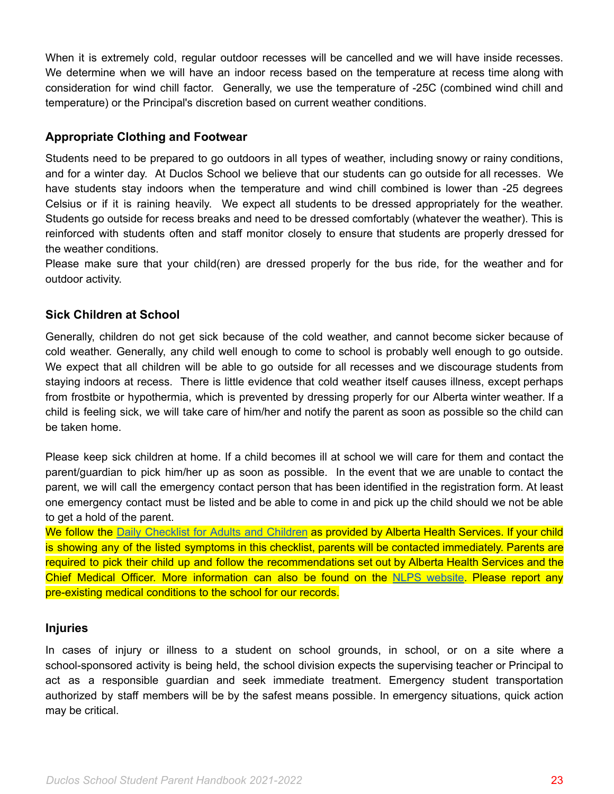When it is extremely cold, regular outdoor recesses will be cancelled and we will have inside recesses. We determine when we will have an indoor recess based on the temperature at recess time along with consideration for wind chill factor. Generally, we use the temperature of -25C (combined wind chill and temperature) or the Principal's discretion based on current weather conditions.

#### <span id="page-22-0"></span>**Appropriate Clothing and Footwear**

Students need to be prepared to go outdoors in all types of weather, including snowy or rainy conditions, and for a winter day. At Duclos School we believe that our students can go outside for all recesses. We have students stay indoors when the temperature and wind chill combined is lower than -25 degrees Celsius or if it is raining heavily. We expect all students to be dressed appropriately for the weather. Students go outside for recess breaks and need to be dressed comfortably (whatever the weather). This is reinforced with students often and staff monitor closely to ensure that students are properly dressed for the weather conditions.

Please make sure that your child(ren) are dressed properly for the bus ride, for the weather and for outdoor activity.

#### <span id="page-22-1"></span>**Sick Children at School**

Generally, children do not get sick because of the cold weather, and cannot become sicker because of cold weather. Generally, any child well enough to come to school is probably well enough to go outside. We expect that all children will be able to go outside for all recesses and we discourage students from staying indoors at recess. There is little evidence that cold weather itself causes illness, except perhaps from frostbite or hypothermia, which is prevented by dressing properly for our Alberta winter weather. If a child is feeling sick, we will take care of him/her and notify the parent as soon as possible so the child can be taken home.

Please keep sick children at home. If a child becomes ill at school we will care for them and contact the parent/guardian to pick him/her up as soon as possible. In the event that we are unable to contact the parent, we will call the emergency contact person that has been identified in the registration form. At least one emergency contact must be listed and be able to come in and pick up the child should we not be able to get a hold of the parent.

We follow the Daily [Checklist](https://open.alberta.ca/dataset/56c020ed-1782-4c6c-bfdd-5af36754471f/resource/58957831-a4ab-45ff-9a8e-3c6af7c1622e/download/covid-19-information-alberta-health-daily-checklist-2021-08.pdf) for Adults and Children as provided by Alberta Health Services. If your child is showing any of the listed symptoms in this checklist, parents will be contacted immediately. Parents are required to pick their child up and follow the recommendations set out by Alberta Health Services and the Chief Medical Officer. More information can also be found on the NLPS [website.](https://www.nlpsab.ca/parents/covid-19) Please report any pre-existing medical conditions to the school for our records.

#### <span id="page-22-2"></span>**Injuries**

In cases of injury or illness to a student on school grounds, in school, or on a site where a school-sponsored activity is being held, the school division expects the supervising teacher or Principal to act as a responsible guardian and seek immediate treatment. Emergency student transportation authorized by staff members will be by the safest means possible. In emergency situations, quick action may be critical.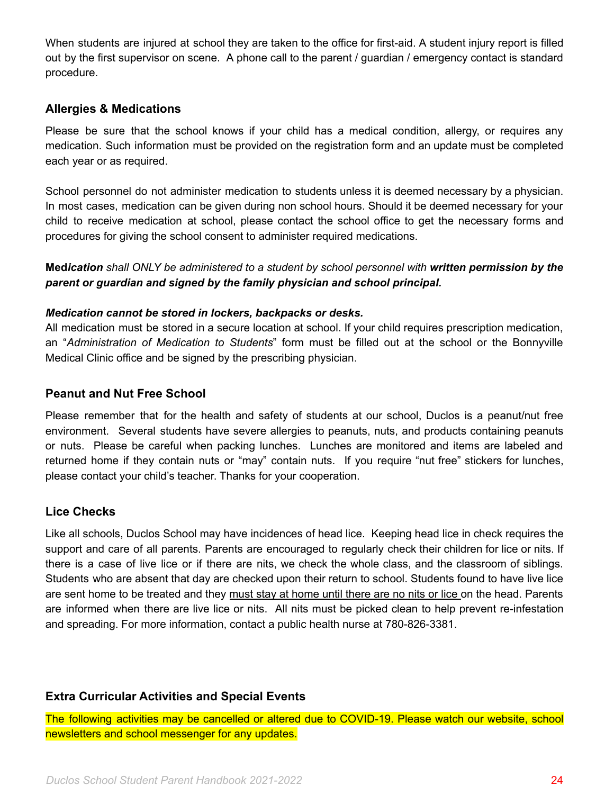When students are injured at school they are taken to the office for first-aid. A student injury report is filled out by the first supervisor on scene. A phone call to the parent / guardian / emergency contact is standard procedure.

#### <span id="page-23-0"></span>**Allergies & Medications**

Please be sure that the school knows if your child has a medical condition, allergy, or requires any medication. Such information must be provided on the registration form and an update must be completed each year or as required.

School personnel do not administer medication to students unless it is deemed necessary by a physician. In most cases, medication can be given during non school hours. Should it be deemed necessary for your child to receive medication at school, please contact the school office to get the necessary forms and procedures for giving the school consent to administer required medications.

**Med***ication shall ONLY be administered to a student by school personnel with written permission by the parent or guardian and signed by the family physician and school principal.*

#### *Medication cannot be stored in lockers, backpacks or desks.*

All medication must be stored in a secure location at school. If your child requires prescription medication, an "*Administration of Medication to Students*" form must be filled out at the school or the Bonnyville Medical Clinic office and be signed by the prescribing physician.

#### <span id="page-23-1"></span>**Peanut and Nut Free School**

Please remember that for the health and safety of students at our school, Duclos is a peanut/nut free environment. Several students have severe allergies to peanuts, nuts, and products containing peanuts or nuts. Please be careful when packing lunches. Lunches are monitored and items are labeled and returned home if they contain nuts or "may" contain nuts. If you require "nut free" stickers for lunches, please contact your child's teacher. Thanks for your cooperation.

#### <span id="page-23-2"></span>**Lice Checks**

Like all schools, Duclos School may have incidences of head lice. Keeping head lice in check requires the support and care of all parents. Parents are encouraged to regularly check their children for lice or nits. If there is a case of live lice or if there are nits, we check the whole class, and the classroom of siblings. Students who are absent that day are checked upon their return to school. Students found to have live lice are sent home to be treated and they must stay at home until there are no nits or lice on the head. Parents are informed when there are live lice or nits. All nits must be picked clean to help prevent re-infestation and spreading. For more information, contact a public health nurse at 780-826-3381.

#### **Extra Curricular Activities and Special Events**

The following activities may be cancelled or altered due to COVID-19. Please watch our website, school newsletters and school messenger for any updates.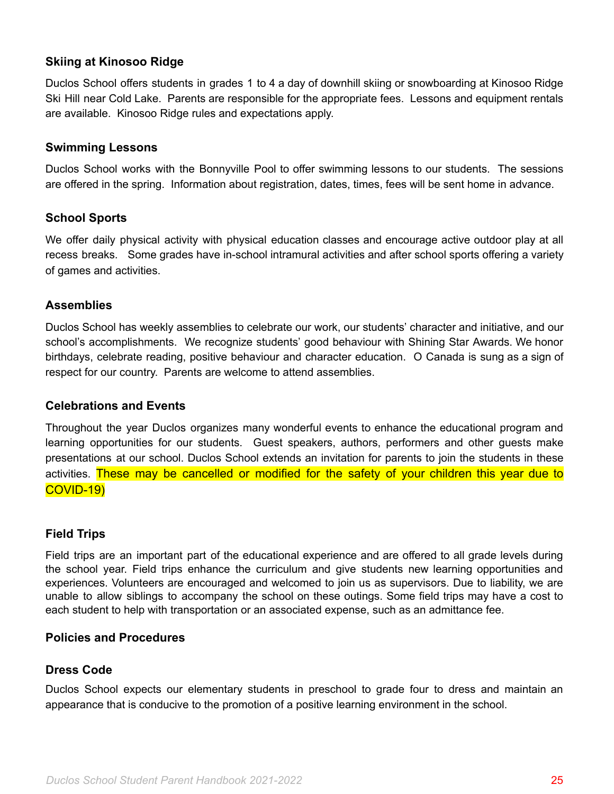### <span id="page-24-0"></span>**Skiing at Kinosoo Ridge**

Duclos School offers students in grades 1 to 4 a day of downhill skiing or snowboarding at Kinosoo Ridge Ski Hill near Cold Lake. Parents are responsible for the appropriate fees. Lessons and equipment rentals are available. Kinosoo Ridge rules and expectations apply.

#### <span id="page-24-1"></span>**Swimming Lessons**

Duclos School works with the Bonnyville Pool to offer swimming lessons to our students. The sessions are offered in the spring. Information about registration, dates, times, fees will be sent home in advance.

### <span id="page-24-2"></span>**School Sports**

We offer daily physical activity with physical education classes and encourage active outdoor play at all recess breaks. Some grades have in-school intramural activities and after school sports offering a variety of games and activities.

### <span id="page-24-3"></span>**Assemblies**

Duclos School has weekly assemblies to celebrate our work, our students' character and initiative, and our school's accomplishments. We recognize students' good behaviour with Shining Star Awards. We honor birthdays, celebrate reading, positive behaviour and character education. O Canada is sung as a sign of respect for our country. Parents are welcome to attend assemblies.

### <span id="page-24-4"></span>**Celebrations and Events**

Throughout the year Duclos organizes many wonderful events to enhance the educational program and learning opportunities for our students. Guest speakers, authors, performers and other guests make presentations at our school. Duclos School extends an invitation for parents to join the students in these activities. These may be cancelled or modified for the safety of your children this year due to COVID-19)

### <span id="page-24-5"></span>**Field Trips**

Field trips are an important part of the educational experience and are offered to all grade levels during the school year. Field trips enhance the curriculum and give students new learning opportunities and experiences. Volunteers are encouraged and welcomed to join us as supervisors. Due to liability, we are unable to allow siblings to accompany the school on these outings. Some field trips may have a cost to each student to help with transportation or an associated expense, such as an admittance fee.

### <span id="page-24-6"></span>**Policies and Procedures**

### **Dress Code**

Duclos School expects our elementary students in preschool to grade four to dress and maintain an appearance that is conducive to the promotion of a positive learning environment in the school.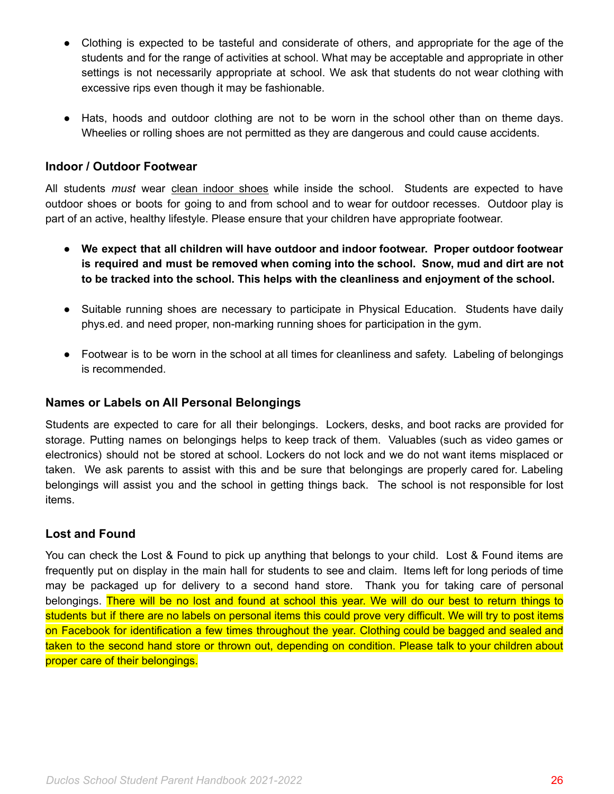- Clothing is expected to be tasteful and considerate of others, and appropriate for the age of the students and for the range of activities at school. What may be acceptable and appropriate in other settings is not necessarily appropriate at school. We ask that students do not wear clothing with excessive rips even though it may be fashionable.
- Hats, hoods and outdoor clothing are not to be worn in the school other than on theme days. Wheelies or rolling shoes are not permitted as they are dangerous and could cause accidents.

### <span id="page-25-0"></span>**Indoor / Outdoor Footwear**

All students *must* wear clean indoor shoes while inside the school. Students are expected to have outdoor shoes or boots for going to and from school and to wear for outdoor recesses. Outdoor play is part of an active, healthy lifestyle. Please ensure that your children have appropriate footwear.

- **● We expect that all children will have outdoor and indoor footwear. Proper outdoor footwear is required and must be removed when coming into the school. Snow, mud and dirt are not to be tracked into the school. This helps with the cleanliness and enjoyment of the school.**
- Suitable running shoes are necessary to participate in Physical Education. Students have daily phys.ed. and need proper, non-marking running shoes for participation in the gym.
- Footwear is to be worn in the school at all times for cleanliness and safety. Labeling of belongings is recommended.

### <span id="page-25-1"></span>**Names or Labels on All Personal Belongings**

Students are expected to care for all their belongings. Lockers, desks, and boot racks are provided for storage. Putting names on belongings helps to keep track of them. Valuables (such as video games or electronics) should not be stored at school. Lockers do not lock and we do not want items misplaced or taken. We ask parents to assist with this and be sure that belongings are properly cared for. Labeling belongings will assist you and the school in getting things back. The school is not responsible for lost items.

### <span id="page-25-2"></span>**Lost and Found**

You can check the Lost & Found to pick up anything that belongs to your child. Lost & Found items are frequently put on display in the main hall for students to see and claim. Items left for long periods of time may be packaged up for delivery to a second hand store. Thank you for taking care of personal belongings. There will be no lost and found at school this year. We will do our best to return things to students but if there are no labels on personal items this could prove very difficult. We will try to post items on Facebook for identification a few times throughout the year. Clothing could be bagged and sealed and taken to the second hand store or thrown out, depending on condition. Please talk to your children about proper care of their belongings.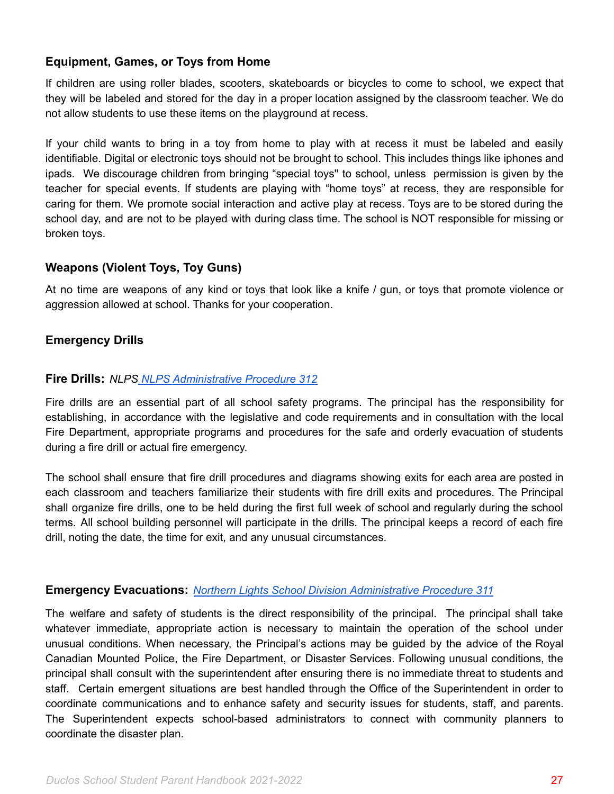### <span id="page-26-0"></span>**Equipment, Games, or Toys from Home**

If children are using roller blades, scooters, skateboards or bicycles to come to school, we expect that they will be labeled and stored for the day in a proper location assigned by the classroom teacher. We do not allow students to use these items on the playground at recess.

If your child wants to bring in a toy from home to play with at recess it must be labeled and easily identifiable. Digital or electronic toys should not be brought to school. This includes things like iphones and ipads. We discourage children from bringing "special toys'' to school, unless permission is given by the teacher for special events. If students are playing with "home toys" at recess, they are responsible for caring for them. We promote social interaction and active play at recess. Toys are to be stored during the school day, and are not to be played with during class time. The school is NOT responsible for missing or broken toys.

### <span id="page-26-1"></span>**Weapons (Violent Toys, Toy Guns)**

At no time are weapons of any kind or toys that look like a knife / gun, or toys that promote violence or aggression allowed at school. Thanks for your cooperation.

### <span id="page-26-2"></span>**Emergency Drills**

#### <span id="page-26-3"></span>**Fire Drills:** *NLPS NLPS [Administrative](https://www.nlpsab.ca/download/137269) Procedure 312*

Fire drills are an essential part of all school safety programs. The principal has the responsibility for establishing, in accordance with the legislative and code requirements and in consultation with the local Fire Department, appropriate programs and procedures for the safe and orderly evacuation of students during a fire drill or actual fire emergency.

The school shall ensure that fire drill procedures and diagrams showing exits for each area are posted in each classroom and teachers familiarize their students with fire drill exits and procedures. The Principal shall organize fire drills, one to be held during the first full week of school and regularly during the school terms. All school building personnel will participate in the drills. The principal keeps a record of each fire drill, noting the date, the time for exit, and any unusual circumstances.

### <span id="page-26-4"></span>**Emergency Evacuations:** *Northern Lights School Division [Administrative](https://www.nlpsab.ca/download/137262) Procedure 311*

The welfare and safety of students is the direct responsibility of the principal. The principal shall take whatever immediate, appropriate action is necessary to maintain the operation of the school under unusual conditions. When necessary, the Principal's actions may be guided by the advice of the Royal Canadian Mounted Police, the Fire Department, or Disaster Services. Following unusual conditions, the principal shall consult with the superintendent after ensuring there is no immediate threat to students and staff. Certain emergent situations are best handled through the Office of the Superintendent in order to coordinate communications and to enhance safety and security issues for students, staff, and parents. The Superintendent expects school-based administrators to connect with community planners to coordinate the disaster plan.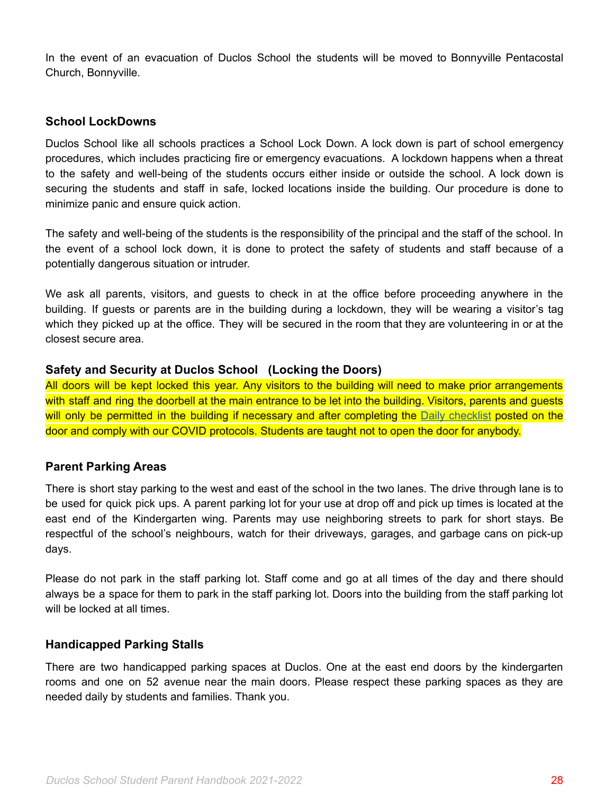In the event of an evacuation of Duclos School the students will be moved to Bonnyville Pentacostal Church, Bonnyville.

#### <span id="page-27-0"></span>**School LockDowns**

Duclos School like all schools practices a School Lock Down. A lock down is part of school emergency procedures, which includes practicing fire or emergency evacuations. A lockdown happens when a threat to the safety and well-being of the students occurs either inside or outside the school. A lock down is securing the students and staff in safe, locked locations inside the building. Our procedure is done to minimize panic and ensure quick action.

The safety and well-being of the students is the responsibility of the principal and the staff of the school. In the event of a school lock down, it is done to protect the safety of students and staff because of a potentially dangerous situation or intruder.

We ask all parents, visitors, and guests to check in at the office before proceeding anywhere in the building. If guests or parents are in the building during a lockdown, they will be wearing a visitor's tag which they picked up at the office. They will be secured in the room that they are volunteering in or at the closest secure area.

#### **Safety and Security at Duclos School (Locking the Doors)**

All doors will be kept locked this year. Any visitors to the building will need to make prior arrangements with staff and ring the doorbell at the main entrance to be let into the building. Visitors, parents and guests will only be permitted in the building if necessary and after completing the Daily [checklist](https://open.alberta.ca/dataset/56c020ed-1782-4c6c-bfdd-5af36754471f/resource/58957831-a4ab-45ff-9a8e-3c6af7c1622e/download/covid-19-information-alberta-health-daily-checklist-2021-08.pdf) posted on the door and comply with our COVID protocols. Students are taught not to open the door for anybody.

### <span id="page-27-1"></span>**Parent Parking Areas**

There is short stay parking to the west and east of the school in the two lanes. The drive through lane is to be used for quick pick ups. A parent parking lot for your use at drop off and pick up times is located at the east end of the Kindergarten wing. Parents may use neighboring streets to park for short stays. Be respectful of the school's neighbours, watch for their driveways, garages, and garbage cans on pick-up days.

Please do not park in the staff parking lot. Staff come and go at all times of the day and there should always be a space for them to park in the staff parking lot. Doors into the building from the staff parking lot will be locked at all times.

### <span id="page-27-2"></span>**Handicapped Parking Stalls**

There are two handicapped parking spaces at Duclos. One at the east end doors by the kindergarten rooms and one on 52 avenue near the main doors. Please respect these parking spaces as they are needed daily by students and families. Thank you.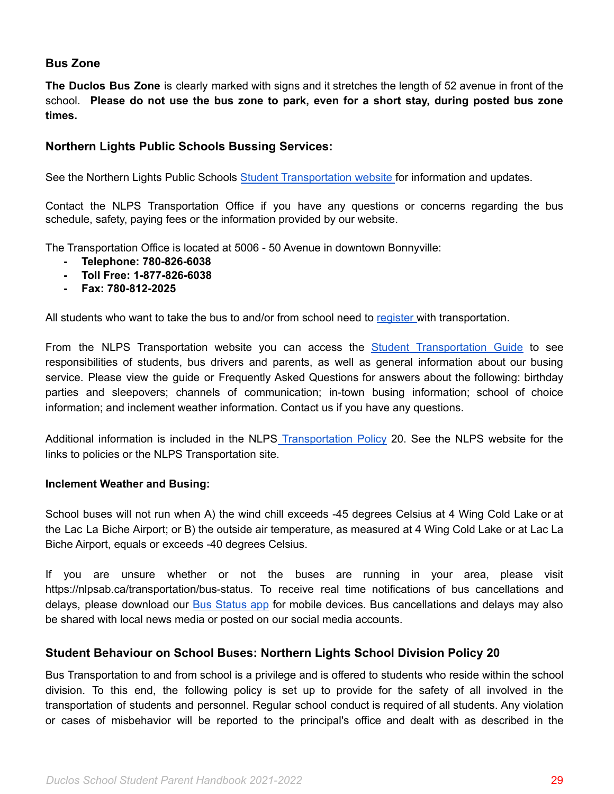### <span id="page-28-0"></span>**Bus Zone**

**The Duclos Bus Zone** is clearly marked with signs and it stretches the length of 52 avenue in front of the school. **Please do not use the bus zone to park, even for a short stay, during posted bus zone times.**

### <span id="page-28-1"></span>**Northern Lights Public Schools Bussing Services:**

See the Northern Lights Public Schools Student [Transportation](https://www.nlpsab.ca/transportation) website for information and updates[.](http://www.nlsd.ab.ca/Transportation.php)

Contact the NLPS Transportation Office if you have any questions or concerns regarding the bus schedule, safety, paying fees or the information provided by our website.

The Transportation Office is located at 5006 - 50 Avenue in downtown Bonnyville:

- **- Telephone: 780-826-6038**
- **- Toll Free: 1-877-826-6038**
- **- Fax: 780-812-2025**

All students who want to take the bus to and/or from school need to [register](https://www.nlpsab.ca/parents/registration/transportation-registration) with transportation.

From the NLPS [Transportation](https://www.nlpsab.ca/download/137721) website you can access the **Student Transportation Guide** to see responsibilities of students, bus drivers and parents, as well as general information about our busing service. Please view the guide or Frequently Asked Questions for answers about the following: birthday parties and sleepovers; channels of communication; in-town busing information; school of choice information; and inclement weather information. Contact us if you have any questions.

Additional information is included in the NLPS [Transportation](https://www.nlpsab.ca/download/137627) Policy 20. See the NLPS website for the links to policies or the NLPS Transportation site.

#### <span id="page-28-2"></span>**Inclement Weather and Busing:**

School buses will not run when A) the wind chill exceeds -45 degrees Celsius at 4 Wing Cold Lake or at the Lac La Biche Airport; or B) the outside air temperature, as measured at 4 Wing Cold Lake or at Lac La Biche Airport, equals or exceeds -40 degrees Celsius.

If you are unsure whether or not the buses are running in your area, please visit https://nlpsab.ca/transportation/bus-status. To receive real time notifications of bus cancellations and delays, please download our Bus [Status](https://www.nlpsab.ca/parents/parent-tools/the-bus-status-app) app for mobile devices. Bus cancellations and delays may also be shared with local news media or posted on our social media accounts.

### <span id="page-28-3"></span>**Student Behaviour on School Buses: Northern Lights School Division Policy 20**

Bus Transportation to and from school is a privilege and is offered to students who reside within the school division. To this end, the following policy is set up to provide for the safety of all involved in the transportation of students and personnel. Regular school conduct is required of all students. Any violation or cases of misbehavior will be reported to the principal's office and dealt with as described in the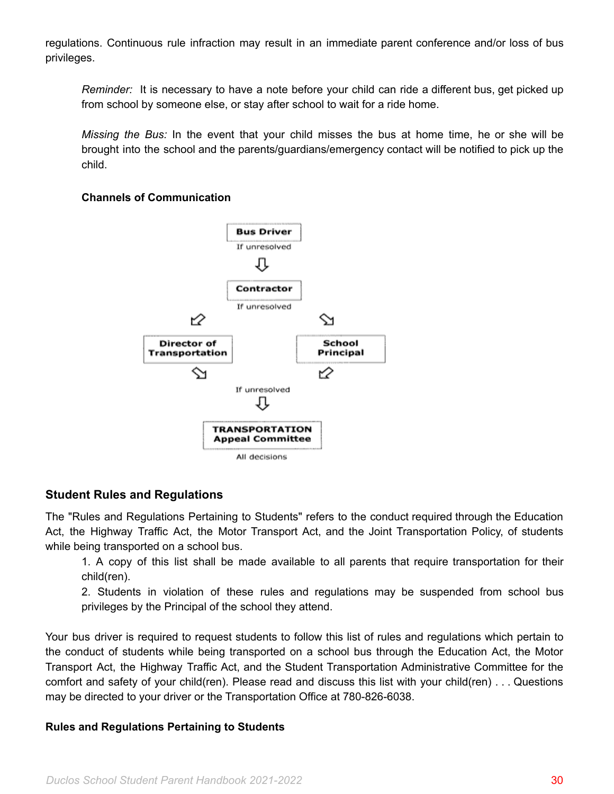regulations. Continuous rule infraction may result in an immediate parent conference and/or loss of bus privileges.

*Reminder:* It is necessary to have a note before your child can ride a different bus, get picked up from school by someone else, or stay after school to wait for a ride home.

*Missing the Bus:* In the event that your child misses the bus at home time, he or she will be brought into the school and the parents/guardians/emergency contact will be notified to pick up the child.

### <span id="page-29-0"></span>**Channels of Communication**



# <span id="page-29-1"></span>**Student Rules and Regulations**

The "Rules and Regulations Pertaining to Students" refers to the conduct required through the Education Act, the Highway Traffic Act, the Motor Transport Act, and the Joint Transportation Policy, of students while being transported on a school bus.

1. A copy of this list shall be made available to all parents that require transportation for their child(ren).

2. Students in violation of these rules and regulations may be suspended from school bus privileges by the Principal of the school they attend.

Your bus driver is required to request students to follow this list of rules and regulations which pertain to the conduct of students while being transported on a school bus through the Education Act, the Motor Transport Act, the Highway Traffic Act, and the Student Transportation Administrative Committee for the comfort and safety of your child(ren). Please read and discuss this list with your child(ren) . . . Questions may be directed to your driver or the Transportation Office at 780-826-6038.

#### **Rules and Regulations Pertaining to Students**